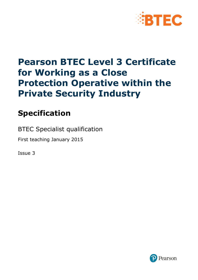

# **Pearson BTEC Level 3 Certificate for Working as a Close Protection Operative within the Private Security Industry**

# **Specification**

BTEC Specialist qualification

First teaching January 2015

Issue 3

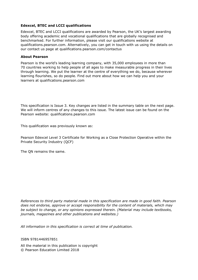#### **Edexcel, BTEC and LCCI qualifications**

Edexcel, BTEC and LCCI qualifications are awarded by Pearson, the UK's largest awarding body offering academic and vocational qualifications that are globally recognised and benchmarked. For further information, please visit our qualifications website at qualifications.pearson.com. Alternatively, you can get in touch with us using the details on our contact us page at qualifications.pearson.com/contactus

#### **About Pearson**

Pearson is the world's leading learning company, with 35,000 employees in more than 70 countries working to help people of all ages to make measurable progress in their lives through learning. We put the learner at the centre of everything we do, because wherever learning flourishes, so do people. Find out more about how we can help you and your learners at qualifications.pearson.com

This specification is Issue 3. Key changes are listed in the summary table on the next page. We will inform centres of any changes to this issue. The latest issue can be found on the Pearson website: qualifications.pearson.com

This qualification was previously known as:

Pearson Edexcel Level 3 Certificate for Working as a Close Protection Operative within the Private Security Industry (QCF)

The QN remains the same.

*References to third party material made in this specification are made in good faith. Pearson does not endorse, approve or accept responsibility for the content of materials, which may be subject to change, or any opinions expressed therein. (Material may include textbooks, journals, magazines and other publications and websites.)*

*All information in this specification is correct at time of publication.*

ISBN 9781446957851

All the material in this publication is copyright © Pearson Education Limited 2018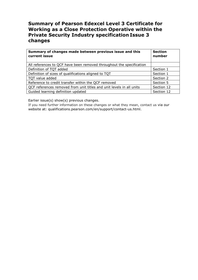### **Summary of Pearson Edexcel Level 3 Certificate for Working as a Close Protection Operative within the Private Security Industry specification Issue 3 changes**

| Summary of changes made between previous issue and this<br>current issue | <b>Section</b><br>number |
|--------------------------------------------------------------------------|--------------------------|
| All references to QCF have been removed throughout the specification     |                          |
| Definition of TQT added                                                  | Section 1                |
| Definition of sizes of qualifications aligned to TQT                     | Section 1                |
| TQT value added                                                          | Section 2                |
| Reference to credit transfer within the QCF removed                      | Section 5                |
| QCF references removed from unit titles and unit levels in all units     | Section 12               |
| Guided learning definition updated                                       | Section 12               |

Earlier issue(s) show(s) previous changes.

If you need further information on these changes or what they mean, contact us via our website at: qualifications.pearson.com/en/support/contact-us.html.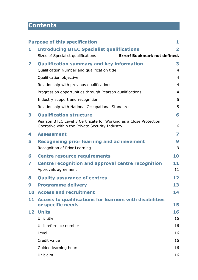# **Contents**

|              | <b>Purpose of this specification</b>                                                                                 | 1                       |
|--------------|----------------------------------------------------------------------------------------------------------------------|-------------------------|
| 1            | <b>Introducing BTEC Specialist qualifications</b>                                                                    | $\overline{\mathbf{2}}$ |
|              | Error! Bookmark not defined.<br>Sizes of Specialist qualifications                                                   |                         |
| $\mathbf{2}$ | <b>Qualification summary and key information</b>                                                                     | 3                       |
|              | Qualification Number and qualification title                                                                         | $\overline{4}$          |
|              | Qualification objective                                                                                              | $\overline{4}$          |
|              | Relationship with previous qualifications                                                                            | $\overline{4}$          |
|              | Progression opportunities through Pearson qualifications                                                             | $\overline{4}$          |
|              | Industry support and recognition                                                                                     | 5                       |
|              | Relationship with National Occupational Standards                                                                    | 5                       |
| 3            | <b>Qualification structure</b>                                                                                       | 6                       |
|              | Pearson BTEC Level 3 Certificate for Working as a Close Protection<br>Operative within the Private Security Industry | 6                       |
| 4            | <b>Assessment</b>                                                                                                    | 7                       |
| 5            | <b>Recognising prior learning and achievement</b>                                                                    | 9                       |
|              | Recognition of Prior Learning                                                                                        | 9                       |
| 6            | <b>Centre resource requirements</b>                                                                                  | 10                      |
| 7            | Centre recognition and approval centre recognition                                                                   | 11                      |
|              | Approvals agreement                                                                                                  | 11                      |
| 8            | <b>Quality assurance of centres</b>                                                                                  | 12                      |
| 9            | <b>Programme delivery</b>                                                                                            | 13                      |
|              | <b>10 Access and recruitment</b>                                                                                     | 14                      |
| 11           | Access to qualifications for learners with disabilities<br>or specific needs                                         | 15                      |
| 12           | <b>Units</b>                                                                                                         | 16                      |
|              | Unit title                                                                                                           | 16                      |
|              | Unit reference number                                                                                                | 16                      |
|              | Level                                                                                                                | 16                      |
|              | Credit value                                                                                                         | 16                      |
|              | Guided learning hours                                                                                                | 16                      |
|              | Unit aim                                                                                                             | 16                      |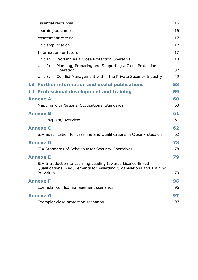|                                                                                                                                                        |                    | <b>Essential resources</b>                                            | 16       |  |  |  |
|--------------------------------------------------------------------------------------------------------------------------------------------------------|--------------------|-----------------------------------------------------------------------|----------|--|--|--|
|                                                                                                                                                        |                    | Learning outcomes                                                     | 16       |  |  |  |
|                                                                                                                                                        |                    | Assessment criteria                                                   | 17       |  |  |  |
|                                                                                                                                                        | Unit amplification |                                                                       | 17       |  |  |  |
|                                                                                                                                                        |                    | Information for tutors                                                | 17       |  |  |  |
|                                                                                                                                                        | Unit $1$ :         | Working as a Close Protection Operative                               | 18       |  |  |  |
|                                                                                                                                                        | Unit 2:            | Planning, Preparing and Supporting a Close Protection<br>Operation    | 32       |  |  |  |
|                                                                                                                                                        | Unit 3:            | Conflict Management within the Private Security Industry              | 49       |  |  |  |
|                                                                                                                                                        |                    | 13 Further information and useful publications                        | 58       |  |  |  |
|                                                                                                                                                        |                    | <b>14 Professional development and training</b>                       | 59       |  |  |  |
| <b>Annexe A</b><br>60<br>Mapping with National Occupational Standards                                                                                  |                    |                                                                       |          |  |  |  |
| 61<br><b>Annexe B</b><br>Unit mapping overview                                                                                                         |                    |                                                                       |          |  |  |  |
|                                                                                                                                                        | <b>Annexe C</b>    | SIA Specification for Learning and Qualifications in Close Protection | 62<br>62 |  |  |  |
|                                                                                                                                                        | <b>Annexe D</b>    |                                                                       | 78       |  |  |  |
|                                                                                                                                                        |                    | SIA Standards of Behaviour for Security Operatives                    | 78       |  |  |  |
| 79<br><b>Annexe E</b>                                                                                                                                  |                    |                                                                       |          |  |  |  |
| SIA Introduction to Learning Leading towards Licence-linked<br>Qualifications: Requirements for Awarding Organisations and Training<br>79<br>Providers |                    |                                                                       |          |  |  |  |
|                                                                                                                                                        | <b>Annexe F</b>    |                                                                       | 96       |  |  |  |
|                                                                                                                                                        |                    | Exemplar conflict management scenarios                                | 96       |  |  |  |
| <b>Annexe G</b><br>97                                                                                                                                  |                    |                                                                       |          |  |  |  |
|                                                                                                                                                        |                    | Exemplar close protection scenarios                                   | 97       |  |  |  |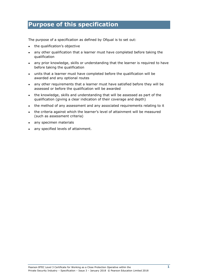### <span id="page-6-0"></span>**Purpose of this specification**

The purpose of a specification as defined by Ofqual is to set out:

- the qualification's objective
- any other qualification that a learner must have completed before taking the qualification
- any prior knowledge, skills or understanding that the learner is required to have before taking the qualification
- units that a learner must have completed before the qualification will be awarded and any optional routes
- any other requirements that a learner must have satisfied before they will be assessed or before the qualification will be awarded
- the knowledge, skills and understanding that will be assessed as part of the qualification (giving a clear indication of their coverage and depth)
- the method of any assessment and any associated requirements relating to it
- the criteria against which the learner's level of attainment will be measured (such as assessment criteria)
- any specimen materials
- any specified levels of attainment.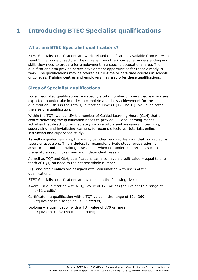# <span id="page-7-0"></span>**1 Introducing BTEC Specialist qualifications**

#### **What are BTEC Specialist qualifications?**

BTEC Specialist qualifications are work-related qualifications available from Entry to Level 3 in a range of sectors. They give learners the knowledge, understanding and skills they need to prepare for employment in a specific occupational area. The qualifications also provide career development opportunities for those already in work. The qualifications may be offered as full-time or part-time courses in schools or colleges. Training centres and employers may also offer these qualifications.

### **Sizes of Specialist qualifications**

For all regulated qualifications, we specify a total number of hours that learners are expected to undertake in order to complete and show achievement for the qualification – this is the Total Qualification Time (TQT). The TQT value indicates the size of a qualification.

Within the TQT, we identify the number of Guided Learning Hours (GLH) that a centre delivering the qualification needs to provide. Guided learning means activities that directly or immediately involve tutors and assessors in teaching, supervising, and invigilating learners, for example lectures, tutorials, online instruction and supervised study.

As well as guided learning, there may be other required learning that is directed by tutors or assessors. This includes, for example, private study, preparation for assessment and undertaking assessment when not under supervision, such as preparatory reading, revision and independent research.

As well as TQT and GLH, qualifications can also have a credit value – equal to one tenth of TQT, rounded to the nearest whole number.

TQT and credit values are assigned after consultation with users of the qualifications.

BTEC Specialist qualifications are available in the following sizes:

Award – a qualification with a TQT value of 120 or less (equivalent to a range of 1–12 credits)

Certificate – a qualification with a TOT value in the range of  $121-369$ (equivalent to a range of 13–36 credits)

Diploma – a qualification with a TQT value of 370 or more (equivalent to 37 credits and above).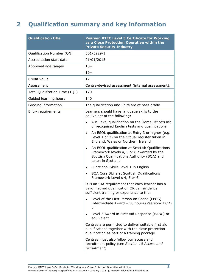# <span id="page-8-0"></span>**2 Qualification summary and key information**

| <b>Qualification title</b>    | <b>Pearson BTEC Level 3 Certificate for Working</b><br>as a Close Protection Operative within the<br><b>Private Security Industry</b>                                          |
|-------------------------------|--------------------------------------------------------------------------------------------------------------------------------------------------------------------------------|
| Qualification Number (QN)     | 601/5229/1                                                                                                                                                                     |
| Accreditation start date      | 01/01/2015                                                                                                                                                                     |
| Approved age ranges           | $18+$                                                                                                                                                                          |
|                               | $19+$                                                                                                                                                                          |
| Credit value                  | 17                                                                                                                                                                             |
| Assessment                    | Centre-devised assessment (internal assessment).                                                                                                                               |
| Total Qualifcation Time (TQT) | 170                                                                                                                                                                            |
| Guided learning hours         | 140                                                                                                                                                                            |
| Grading information           | The qualification and units are at pass grade.                                                                                                                                 |
| Entry requirements            | Learners should have language skills to the<br>equivalent of the following:                                                                                                    |
|                               | A BI level qualification on the Home Office's list<br>$\bullet$<br>of recognised English tests and qualifications                                                              |
|                               | An ESOL qualification at Entry 3 or higher (e.g.<br>$\bullet$<br>Level 1 or 2) on the Ofqual register taken in<br>England, Wales or Northern Ireland                           |
|                               | An ESOL qualification at Scottish Qualifications<br>$\bullet$<br>Framework levels 4, 5 or 6 awarded by the<br>Scottish Qualifications Authority (SQA) and<br>taken in Scotland |
|                               | Functional Skills Level 1 in English<br>$\bullet$                                                                                                                              |
|                               | SQA Core Skills at Scottish Qualifications<br>Framework Level s 4, 5 or 6.                                                                                                     |
|                               | It is an SIA requirement that each learner has a<br>valid first aid qualification OR can evidence<br>sufficient training or experience to the:                                 |
|                               | Level of the First Person on Scene (FPOS)<br>Intermediate Award - 30 hours (Pearson/IHCD)<br>or                                                                                |
|                               | Level 3 Award in First Aid Response (HABC) or<br>$\bullet$<br>equivalent                                                                                                       |
|                               | Centres are permitted to deliver suitable first aid<br>qualifications together with the close protection<br>qualification as part of a training package.                       |
|                               | Centres must also follow our access and<br>recruitment policy (see Section 10 Access and<br>recruitment).                                                                      |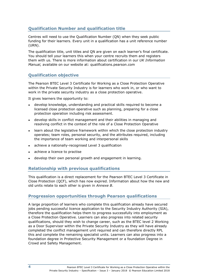### <span id="page-9-0"></span>**Qualification Number and qualification title**

Centres will need to use the Qualification Number (QN) when they seek public funding for their learners. Every unit in a qualification has a unit reference number (URN).

The qualification title, unit titles and QN are given on each learner's final certificate. You should tell your learners this when your centre recruits them and registers them with us. There is more information about certification in our *UK Information Manual,* available on our website at: qualifications.pearson.com

### <span id="page-9-1"></span>**Qualification objective**

The Pearson BTEC Level 3 Certificate for Working as a Close Protection Operative within the Private Security Industry is for learners who work in, or who want to work in the private security industry as a close protection operative.

It gives learners the opportunity to:

- develop knowledge, understanding and practical skills required to become a licensed close protection operative such as planning, preparing for a close protection operation including risk assessment.
- develop skills in conflict management and their abilities in managing and resolving conflict in the context of the role of a Close Protection Operative
- learn about the legislative framework within which the close protection industry operates; team roles, personal security, and the attributes required, including the importance of team working and interpersonal skills
- achieve a nationally-recognised Level 3 qualification
- achieve a licence to practise
- <span id="page-9-2"></span>develop their own personal growth and engagement in learning.

### **Relationship with previous qualifications**

This qualification is a direct replacement for the Pearson BTEC Level 3 Certificate in Close Protection (QCF), which has now expired. Information about how the new and old units relate to each other is given in *Annexe B*.

### <span id="page-9-3"></span>**Progression opportunities through Pearson qualifications**

A large proportion of learners who complete this qualification already have secured jobs pending successful licence application to the Security Industry Authority (SIA), therefore the qualification helps them to progress successfully into employment as a Close Protection Operative. Learners can also progress into related security qualifications, should they wish to change career, such as the BTEC level 2 Working as a Door Supervisor within the Private Security Industry as they will have already completed the conflict management unit required and can therefore directly RPL this and complete the remaining specialist units. Learners can also progress into a foundation degree in Protective Security Management or a foundation Degree in Crowd and Safety Management.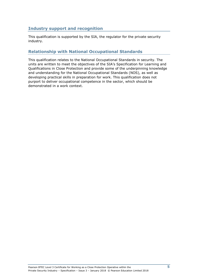### <span id="page-10-0"></span>**Industry support and recognition**

This qualification is supported by the SIA, the regulator for the private security industry.

### <span id="page-10-1"></span>**Relationship with National Occupational Standards**

This qualification relates to the National Occupational Standards in security. The units are written to meet the objectives of the SIA's Specification for Learning and Qualifications in Close Protection and provide some of the underpinning knowledge and understanding for the National Occupational Standards (NOS), as well as developing practical skills in preparation for work. This qualification does not purport to deliver occupational competence in the sector, which should be demonstrated in a work context.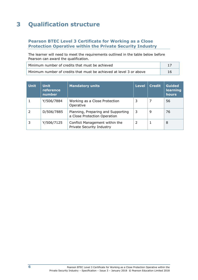# <span id="page-11-0"></span>**3 Qualification structure**

### <span id="page-11-1"></span>**Pearson BTEC Level 3 Certificate for Working as a Close Protection Operative within the Private Security Industry**

The learner will need to meet the requirements outlined in the table below before Pearson can award the qualification.

| Minimum number of credits that must be achieved                     |  |  |
|---------------------------------------------------------------------|--|--|
| Minimum number of credits that must be achieved at level 3 or above |  |  |

| <b>Unit</b> | <b>Unit</b><br>reference<br>number | <b>Mandatory units</b>                                             | <b>Level</b> | <b>Credit</b> | <b>Guided</b><br>learning<br>hours |
|-------------|------------------------------------|--------------------------------------------------------------------|--------------|---------------|------------------------------------|
|             | Y/506/7884                         | Working as a Close Protection<br>Operative                         | 3            |               | 56                                 |
|             | D/506/7885                         | Planning, Preparing and Supporting<br>a Close Protection Operation | 3            | 9             | 76                                 |
|             | Y/506/7125                         | Conflict Management within the<br>Private Security Industry        | 2            |               | 8                                  |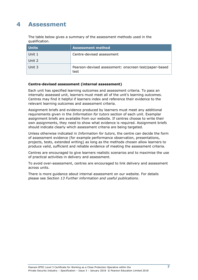### <span id="page-12-0"></span>**4 Assessment**

The table below gives a summary of the assessment methods used in the qualification.

| <b>Units</b> | <b>Assessment method</b>                                      |
|--------------|---------------------------------------------------------------|
| Unit 1       | Centre-devised assessment                                     |
| Unit 2       |                                                               |
| Unit 3       | Pearson-devised assessment: onscreen test/paper-based<br>test |

#### **Centre-devised assessment (internal assessment)**

Each unit has specified learning outcomes and assessment criteria. To pass an internally assessed unit, learners must meet all of the unit's learning outcomes. Centres may find it helpful if learners index and reference their evidence to the relevant learning outcomes and assessment criteria.

Assignment briefs and evidence produced by learners must meet any additional requirements given in the *Information for tutors* section of each unit. Exemplar assignment briefs are available from our website. If centres choose to write their own assignments, they need to show what evidence is required. Assignment briefs should indicate clearly which assessment criteria are being targeted.

Unless otherwise indicated in *Information for tutors*, the centre can decide the form of assessment evidence (for example performance observation, presentations, projects, tests, extended writing) as long as the methods chosen allow learners to produce valid, sufficient and reliable evidence of meeting the assessment criteria.

Centres are encouraged to give learners realistic scenarios and to maximise the use of practical activities in delivery and assessment.

To avoid over-assessment, centres are encouraged to link delivery and assessment across units.

There is more guidance about internal assessment on our website. For details please see *Section 13 Further information and useful publications*.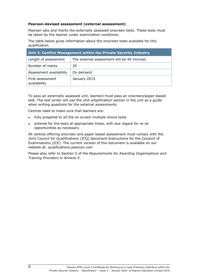#### **Pearson-devised assessment (external assessment)**

Pearson sets and marks the externally assessed onscreen tests. These tests must be taken by the learner under examination conditions.

The table below gives information about the onscreen tests available for this qualification.

| <b>Unit 3: Conflict Management within the Private Security Industry</b> |                                            |  |  |  |  |  |
|-------------------------------------------------------------------------|--------------------------------------------|--|--|--|--|--|
| Length of assessment                                                    | The external assessment will be 45 minutes |  |  |  |  |  |
| Number of marks                                                         | 35                                         |  |  |  |  |  |
| Assessment availability                                                 | On demand                                  |  |  |  |  |  |
| First assessment<br>availability                                        | January 2015                               |  |  |  |  |  |

To pass an externally assessed unit, learners must pass an onscreen/paper-based test. The test writer will use the *Unit amplification* section in the unit as a guide when writing questions for the external assessments.

Centres need to make sure that learners are:

- fully prepared to sit the on screen multiple choice tests
- entered for the tests at appropriate times, with due regard for re-sit opportunities as necessary.

All centres offering onscreen and paper based assessment must comply with the Joint Council for Qualifications (JCQ) document Instructions for the Conduct of Examinations (ICE). The current version of this document is available on our website at: qualifications.pearson.com

Please also refer to Section 5 of the *Requirements for Awarding Organisations and Training Providers in Annexe E.*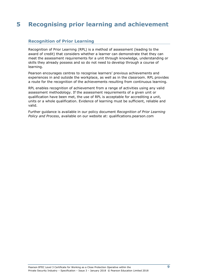# <span id="page-14-0"></span>**5 Recognising prior learning and achievement**

### <span id="page-14-1"></span>**Recognition of Prior Learning**

Recognition of Prior Learning (RPL) is a method of assessment (leading to the award of credit) that considers whether a learner can demonstrate that they can meet the assessment requirements for a unit through knowledge, understanding or skills they already possess and so do not need to develop through a course of learning.

Pearson encourages centres to recognise learners' previous achievements and experiences in and outside the workplace, as well as in the classroom. RPL provides a route for the recognition of the achievements resulting from continuous learning.

RPL enables recognition of achievement from a range of activities using any valid assessment methodology. If the assessment requirements of a given unit or qualification have been met, the use of RPL is acceptable for accrediting a unit, units or a whole qualification. Evidence of learning must be sufficient, reliable and valid.

Further guidance is available in our policy document *Recognition of Prior Learning Policy and Process*, available on our website at: qualifications.pearson.com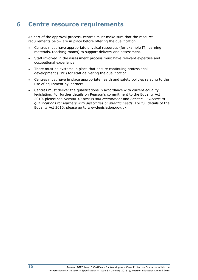## <span id="page-15-0"></span>**6 Centre resource requirements**

As part of the approval process, centres must make sure that the resource requirements below are in place before offering the qualification.

- Centres must have appropriate physical resources (for example IT, learning materials, teaching rooms) to support delivery and assessment.
- Staff involved in the assessment process must have relevant expertise and occupational experience.
- There must be systems in place that ensure continuing professional development (CPD) for staff delivering the qualification.
- Centres must have in place appropriate health and safety policies relating to the use of equipment by learners.
- Centres must deliver the qualifications in accordance with current equality legislation. For further details on Pearson's commitment to the Equality Act 2010, please see *Section 10 Access and recruitment* and *Section 11 Access to qualifications for learners with disabilities or specific needs*. For full details of the Equality Act 2010, please go to www.legislation.gov.uk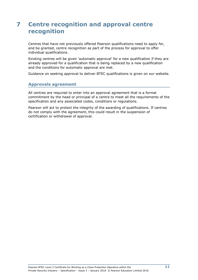### <span id="page-16-0"></span>**7 Centre recognition and approval centre recognition**

Centres that have not previously offered Pearson qualifications need to apply for, and be granted, centre recognition as part of the process for approval to offer individual qualifications.

Existing centres will be given 'automatic approval' for a new qualification if they are already approved for a qualification that is being replaced by a new qualification and the conditions for automatic approval are met.

<span id="page-16-1"></span>Guidance on seeking approval to deliver BTEC qualifications is given on our website.

#### **Approvals agreement**

All centres are required to enter into an approval agreement that is a formal commitment by the head or principal of a centre to meet all the requirements of the specification and any associated codes, conditions or regulations.

Pearson will act to protect the integrity of the awarding of qualifications. If centres do not comply with the agreement, this could result in the suspension of certification or withdrawal of approval.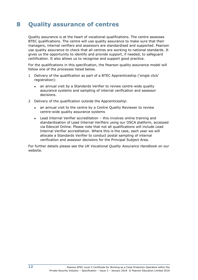# <span id="page-17-0"></span>**8 Quality assurance of centres**

Quality assurance is at the heart of vocational qualifications. The centre assesses BTEC qualifications. The centre will use quality assurance to make sure that their managers, internal verifiers and assessors are standardised and supported. Pearson use quality assurance to check that all centres are working to national standards. It gives us the opportunity to identify and provide support, if needed, to safeguard certification. It also allows us to recognise and support good practice.

For the qualifications in this specification, the Pearson quality assurance model will follow one of the processes listed below.

- 1 Delivery of the qualification as part of a BTEC Apprenticeship ('single click' registration):
	- an annual visit by a Standards Verifier to review centre-wide quality assurance systems and sampling of internal verification and assessor decisions.
- 2 Delivery of the qualification outside the Apprenticeship:
	- an annual visit to the centre by a Centre Quality Reviewer to review centre-wide quality assurance systems
	- Lead Internal Verifier accreditation this involves online training and standardisation of Lead Internal Verifiers using our OSCA platform, accessed via Edexcel Online. Please note that not all qualifications will include Lead Internal Verifier accreditation. Where this is the case, each year we will allocate a Standards Verifier to conduct postal sampling of internal verification and assessor decisions for the Principal Subject Area.

For further details please see the *UK Vocational Quality Assurance Handbook* [on](http://www.edexcel.com/quals/BTEC/quality/Pages/documents.aspx) our website.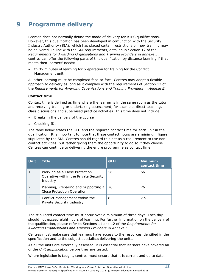# <span id="page-18-0"></span>**9 Programme delivery**

Pearson does not normally define the mode of delivery for BTEC qualifications. However, this qualification has been developed in conjunction with the Security Industry Authority (SIA), which has placed certain restrictions on how training may be delivered. In line with the SIA requirements, detailed in Section 12 of the *Requirements for Awarding Organisations and Training Providers* in *annexe E*, centres can offer the following parts of this qualification by distance learning if that meets their learners' needs:

thirty minutes of learning for preparation for training for the Conflict Management unit.

All other learning must be completed face-to-face. Centres may adopt a flexible approach to delivery as long as it complies with the requirements of Section 12 of the *Requirements for Awarding Organisations and Training Providers* in *Annexe E.*

#### **Contact time**

Contact time is defined as time where the learner is in the same room as the tutor and receiving training or undertaking assessment, for example, direct teaching, class discussions and supervised practice activities. This time does not include:

- Breaks in the delivery of the course
- Checking ID.

The table below states the GLH and the required contact time for each unit in the qualification. It is important to note that these contact hours are a minimum figure stipulated by the SIA. Centres should regard this not as a requirement to use noncontact activities, but rather giving them the opportunity to do so if they choose. Centres can continue to delivering the entire programme as contact time.

| <b>Unit</b> | <b>Title</b>                                                                       | <b>GLH</b> | <b>Minimum</b><br>contact time |
|-------------|------------------------------------------------------------------------------------|------------|--------------------------------|
|             | Working as a Close Protection<br>Operative within the Private Security<br>Industry | 56         | 56                             |
|             | Planning, Preparing and Supporting a<br><b>Close Protection Operation</b>          | 76         | 76                             |
| 3           | Conflict Management within the<br>Private Security Industry                        | 8          | 7.5                            |

The stipulated contact time must occur over a minimum of three days. Each day should not exceed eight hours of learning. For further information on the delivery of the qualification, please refer to Sections 11 and 12 of the *Requirements for Awarding Organisations and Training Providers* in *Annexe E.*

Centres must make sure that learners have access to the resources identified in the specification and to the subject specialists delivering the units.

As all the units are externally assessed, it is essential that learners have covered all of the *Unit amplification* before they are tested.

Where legislation is taught, centres must ensure that it is current and up to date.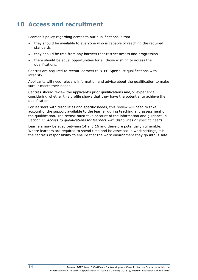### <span id="page-19-0"></span>**10 Access and recruitment**

Pearson's policy regarding access to our qualifications is that:

- they should be available to everyone who is capable of reaching the required standards
- they should be free from any barriers that restrict access and progression
- there should be equal opportunities for all those wishing to access the qualifications.

Centres are required to recruit learners to BTEC Specialist qualifications with integrity.

Applicants will need relevant information and advice about the qualification to make sure it meets their needs.

Centres should review the applicant's prior qualifications and/or experience, considering whether this profile shows that they have the potential to achieve the qualification.

For learners with disabilities and specific needs, this review will need to take account of the support available to the learner during teaching and assessment of the qualification. The review must take account of the information and guidance in *Section 11 Access to qualifications for learners with disabilities or specific needs*.

Learners may be aged between 14 and 16 and therefore potentially vulnerable. Where learners are required to spend time and be assessed in work settings, it is the centre's responsibility to ensure that the work environment they go into is safe.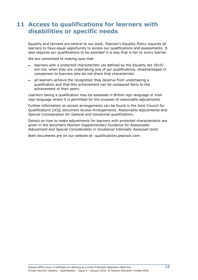### <span id="page-20-0"></span>**11 Access to qualifications for learners with disabilities or specific needs**

Equality and fairness are central to our work. Pearson's Equality Policy requires all learners to have equal opportunity to access our qualifications and assessments. It also requires our qualifications to be awarded in a way that is fair to every learner.

We are committed to making sure that:

- learners with a protected characteristic (as defined by the Equality Act 2010) are not, when they are undertaking one of our qualifications, disadvantaged in comparison to learners who do not share that characteristic
- all learners achieve the recognition they deserve from undertaking a qualification and that this achievement can be compared fairly to the achievement of their peers.

Learners taking a qualification may be assessed in British sign language or Irish sign language where it is permitted for the purpose of reasonable adjustments.

Further information on access arrangements can be found in the Joint Council for Qualifications (JCQ) document *Access Arrangements, Reasonable Adjustments and Special Consideration for General and Vocational qualifications*.

Details on how to make adjustments for learners with protected characteristics are given in the document *Pearson Supplementary Guidance for Reasonable Adjustment and Special Consideration in Vocational Internally Assessed Units*.

Both documents are on our website at: qualifications.pearson.com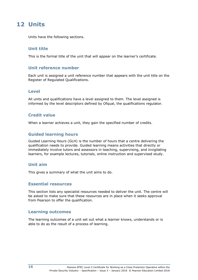### <span id="page-21-0"></span>**12 Units**

<span id="page-21-1"></span>Units have the following sections.

### **Unit title**

<span id="page-21-2"></span>This is the formal title of the unit that will appear on the learner's certificate.

### **Unit reference number**

Each unit is assigned a unit reference number that appears with the unit title on the Register of Regulated Qualifications.

### <span id="page-21-3"></span>**Level**

All units and qualifications have a level assigned to them. The level assigned is informed by the level descriptors defined by Ofqual, the qualifications regulator.

### <span id="page-21-4"></span>**Credit value**

<span id="page-21-5"></span>When a learner achieves a unit, they gain the specified number of credits.

### **Guided learning hours**

Guided Learning Hours (GLH) is the number of hours that a centre delivering the qualification needs to provide. Guided learning means activities that directly or immediately involve tutors and assessors in teaching, supervising, and invigilating learners, for example lectures, tutorials, online instruction and supervised study.

### <span id="page-21-6"></span>**Unit aim**

<span id="page-21-7"></span>This gives a summary of what the unit aims to do.

### **Essential resources**

This section lists any specialist resources needed to deliver the unit. The centre will be asked to make sure that these resources are in place when it seeks approval from Pearson to offer the qualification.

### <span id="page-21-8"></span>**Learning outcomes**

The learning outcomes of a unit set out what a learner knows, understands or is able to do as the result of a process of learning.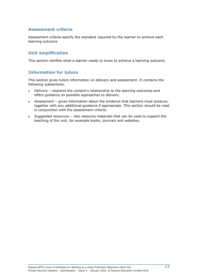### <span id="page-22-0"></span>**Assessment criteria**

Assessment criteria specify the standard required by the learner to achieve each learning outcome.

### <span id="page-22-1"></span>**Unit amplification**

<span id="page-22-2"></span>This section clarifies what a learner needs to know to achieve a learning outcome.

### **Information for tutors**

This section gives tutors information on delivery and assessment. It contains the following subsections.

- *Delivery* explains the content's relationship to the learning outcomes and offers guidance on possible approaches to delivery.
- *Assessment* gives information about the evidence that learners must produce, together with any additional guidance if appropriate. This section should be read in conjunction with the assessment criteria.
- *Suggested resources* lists resource materials that can be used to support the teaching of the unit, for example books, journals and websites.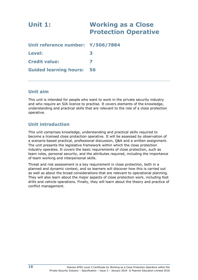<span id="page-23-0"></span>

| <b>Unit 1:</b>                    | <b>Working as a Close</b><br><b>Protection Operative</b> |
|-----------------------------------|----------------------------------------------------------|
| Unit reference number: Y/506/7884 |                                                          |
| <b>Level:</b>                     | 3                                                        |
| <b>Credit value:</b>              |                                                          |
| <b>Guided learning hours:</b>     | 56                                                       |

### **Unit aim**

This unit is intended for people who want to work in the private security industry and who require an SIA licence to practise. It covers elements of the knowledge, understanding and practical skills that are relevant to the role of a close protection operative.

### **Unit introduction**

This unit comprises knowledge, understanding and practical skills required to become a licensed close protection operative. It will be assessed by observation of a scenario-based practical, professional discussion, Q&A and a written assignment. The unit presents the legislative framework within which the close protection industry operates. It covers the basic requirements of close protection, such as team roles, personal security, and the attributes required, including the importance of team working and interpersonal skills.

Threat and risk assessment is a key requirement in close protection, both in a planned and dynamic context, and so learners will discover how this is carried out as well as about the broad considerations that are relevant to operational planning. They will also learn about the major aspects of close protection work, including foot drills and vehicle operations. Finally, they will learn about the theory and practice of conflict management.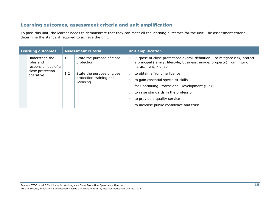### **Learning outcomes, assessment criteria and unit amplification**

To pass this unit, the learner needs to demonstrate that they can meet all the learning outcomes for the unit. The assessment criteria determine the standard required to achieve the unit.

| <b>Learning outcomes</b><br><b>Assessment criteria</b> |                                                      | <b>Unit amplification</b> |                                                                    |                              |                                                                                                                                                                              |                                      |
|--------------------------------------------------------|------------------------------------------------------|---------------------------|--------------------------------------------------------------------|------------------------------|------------------------------------------------------------------------------------------------------------------------------------------------------------------------------|--------------------------------------|
|                                                        | Understand the<br>roles and<br>responsibilities of a | 1.1                       | State the purpose of close<br>protection                           |                              | Purpose of close protection: overall definition - to mitigate risk, protect<br>a principal (family, lifestyle, business, image, property) from injury,<br>harassment, kidnap |                                      |
|                                                        | close protection<br>operative                        | 1.2                       | State the purpose of close<br>protection training and<br>licensing |                              | to obtain a frontline licence                                                                                                                                                |                                      |
|                                                        |                                                      |                           |                                                                    |                              | to gain essential specialist skills                                                                                                                                          |                                      |
|                                                        |                                                      |                           |                                                                    |                              | for Continuing Professional Development (CPD)                                                                                                                                |                                      |
|                                                        |                                                      |                           |                                                                    |                              |                                                                                                                                                                              | to raise standards in the profession |
|                                                        |                                                      |                           |                                                                    | to provide a quality service |                                                                                                                                                                              |                                      |
|                                                        |                                                      |                           |                                                                    |                              | to increase public confidence and trust                                                                                                                                      |                                      |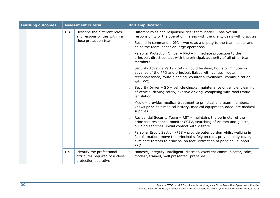| <b>Learning outcomes</b> |  | <b>Assessment criteria</b> |                                                                                     | <b>Unit amplification</b> |                                                                                                                                                                                                                                           |  |
|--------------------------|--|----------------------------|-------------------------------------------------------------------------------------|---------------------------|-------------------------------------------------------------------------------------------------------------------------------------------------------------------------------------------------------------------------------------------|--|
|                          |  | 1.3                        | Describe the different roles<br>and responsibilities within a                       | $\Box$                    | Different roles and responsibilities: team leader - has overall<br>responsibility of the operation, liaises with the client, deals with disputes                                                                                          |  |
|                          |  |                            | close protection team                                                               | $\Box$                    | Second in command $-2IC$ - works as a deputy to the team leader and<br>helps the team leader on large operations                                                                                                                          |  |
|                          |  |                            |                                                                                     | $\Box$                    | Personal Protection Officer - PPO - immediate protection to the<br>principal, direct contact with the principal, authority of all other team<br>members                                                                                   |  |
|                          |  |                            |                                                                                     |                           | Security Advance Party - SAP - could be days, hours or minutes in<br>advance of the PPO and principal, liaises with venues, route<br>reconnaissance, route planning, counter surveillance, communication<br>with PPO                      |  |
|                          |  |                            |                                                                                     | $\Box$                    | Security Driver - SD - vehicle checks, maintenance of vehicle, cleaning<br>of vehicle, driving safely, evasive driving, complying with road traffic<br>legislation                                                                        |  |
|                          |  |                            |                                                                                     |                           | Medic - provides medical treatment to principal and team members,<br>knows principals medical history, medical equipment, adequate medical<br>supplies                                                                                    |  |
|                          |  |                            |                                                                                     |                           | Residential Security Team - RST - maintains the perimeter of the<br>principals residence, monitor CCTV, searching of visitors and guests,<br>building searches, initial contact with visitors                                             |  |
|                          |  |                            |                                                                                     | $\Box$                    | Personal Escort Section -PES - provide outer cordon whilst walking in<br>foot formation, move the principal safely on foot, provide body cover,<br>eliminate threats to principal on foot, extraction of principal, support<br><b>PPO</b> |  |
|                          |  | 1.4                        | Identify the professional<br>attributes required of a close<br>protection operative | $\Box$                    | Honesty, integrity, intelligent, discreet, excellent communicator, calm,<br>modest, trained, well presented, prepared                                                                                                                     |  |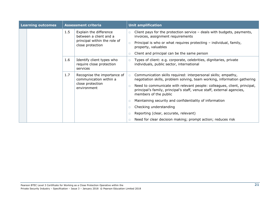| <b>Learning outcomes</b> |  | <b>Assessment criteria</b> |                                                                                                      |        | <b>Unit amplification</b>                                                                                                                                                   |  |
|--------------------------|--|----------------------------|------------------------------------------------------------------------------------------------------|--------|-----------------------------------------------------------------------------------------------------------------------------------------------------------------------------|--|
|                          |  | 1.5                        | Explain the difference<br>between a client and a<br>principal within the role of<br>close protection | $\Box$ | Client pays for the protection service $-$ deals with budgets, payments,<br>invoices, assignment requirements                                                               |  |
|                          |  |                            |                                                                                                      | $\Box$ | Principal is who or what requires protecting - individual, family,<br>property, valuables                                                                                   |  |
|                          |  |                            |                                                                                                      | $\Box$ | Client and principal can be the same person                                                                                                                                 |  |
|                          |  | 1.6                        | Identify client types who<br>require close protection<br>services                                    | $\Box$ | Types of client: e.g. corporate, celebrities, dignitaries, private<br>individuals, public sector, international                                                             |  |
|                          |  | 1.7                        | Recognise the importance of<br>communication within a<br>close protection<br>environment             | $\Box$ | Communication skills required: interpersonal skills; empathy,<br>negotiation skills, problem solving, team working, information gathering                                   |  |
|                          |  |                            |                                                                                                      | $\Box$ | Need to communicate with relevant people: colleagues, client, principal,<br>principal's family, principal's staff, venue staff, external agencies,<br>members of the public |  |
|                          |  |                            |                                                                                                      | $\Box$ | Maintaining security and confidentiality of information                                                                                                                     |  |
|                          |  |                            |                                                                                                      | П.     | Checking understanding                                                                                                                                                      |  |
|                          |  |                            |                                                                                                      | $\Box$ | Reporting (clear, accurate, relevant)                                                                                                                                       |  |
|                          |  |                            |                                                                                                      |        | Need for clear decision making; prompt action; reduces risk                                                                                                                 |  |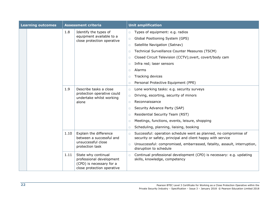|  | <b>Learning outcomes</b> | <b>Assessment criteria</b> |                                                                                                           |        | <b>Unit amplification</b>                                                                                                       |  |  |
|--|--------------------------|----------------------------|-----------------------------------------------------------------------------------------------------------|--------|---------------------------------------------------------------------------------------------------------------------------------|--|--|
|  |                          | 1.8                        | Identify the types of                                                                                     | $\Box$ | Types of equipment: e.g. radios                                                                                                 |  |  |
|  |                          |                            | equipment available to a<br>close protection operative                                                    | $\Box$ | Global Positioning System (GPS)                                                                                                 |  |  |
|  |                          |                            |                                                                                                           | $\Box$ | Satellite Navigation (Satnav)                                                                                                   |  |  |
|  |                          |                            |                                                                                                           | $\Box$ | Technical Surveillance Counter Measures (TSCM)                                                                                  |  |  |
|  |                          |                            |                                                                                                           | $\Box$ | Closed Circuit Television (CCTV); overt, covert/body cam                                                                        |  |  |
|  |                          |                            |                                                                                                           | $\Box$ | Infra red; laser sensors                                                                                                        |  |  |
|  |                          |                            |                                                                                                           | $\Box$ | Alarms                                                                                                                          |  |  |
|  |                          |                            |                                                                                                           | $\Box$ | Tracking devices                                                                                                                |  |  |
|  |                          |                            |                                                                                                           | $\Box$ | Personal Protective Equipment (PPE)                                                                                             |  |  |
|  |                          | 1.9                        | Describe tasks a close<br>protection operative could<br>undertake whilst working<br>alone                 | $\Box$ | Lone working tasks: e.g. security surveys                                                                                       |  |  |
|  |                          |                            |                                                                                                           | $\Box$ | Driving, escorting, security of minors                                                                                          |  |  |
|  |                          |                            |                                                                                                           | $\Box$ | Reconnaissance                                                                                                                  |  |  |
|  |                          |                            |                                                                                                           | $\Box$ | Security Advance Party (SAP)                                                                                                    |  |  |
|  |                          |                            |                                                                                                           | $\Box$ | Residential Security Team (RST)                                                                                                 |  |  |
|  |                          |                            |                                                                                                           | $\Box$ | Meetings, functions, events, leisure, shopping                                                                                  |  |  |
|  |                          |                            |                                                                                                           | $\Box$ | Scheduling, planning, liaising, booking                                                                                         |  |  |
|  |                          | 1.10                       | Explain the difference<br>between a successful and<br>unsuccessful close<br>protection task               | $\Box$ | Successful: operation schedule went as planned, no compromise of<br>security or safety, principal and client happy with service |  |  |
|  |                          |                            |                                                                                                           | $\Box$ | Unsuccessful: compromised, embarrassed, fatality, assault, interruption,<br>disruption to schedule                              |  |  |
|  |                          | 1.11                       | State why continual<br>professional development<br>(CPD) is necessary for a<br>close protection operative | $\Box$ | Continual professional development (CPD) is necessary: e.g. updating<br>skills, knowledge, competency                           |  |  |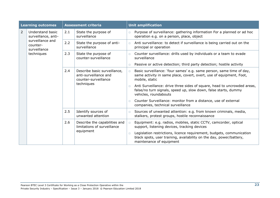|                | <b>Learning outcomes</b>                     | <b>Assessment criteria</b> |                                                                                             |        | <b>Unit amplification</b>                                                                                                                                                |
|----------------|----------------------------------------------|----------------------------|---------------------------------------------------------------------------------------------|--------|--------------------------------------------------------------------------------------------------------------------------------------------------------------------------|
| $\overline{2}$ | Understand basic<br>surveillance, anti-      | 2.1                        | State the purpose of<br>surveillance                                                        | $\Box$ | Purpose of surveillance: gathering information For a planned or ad hoc<br>operation e.g. on a person, place, object                                                      |
|                | surveillance and<br>counter-<br>surveillance | 2.2                        | State the purpose of anti-<br>surveillance                                                  | $\Box$ | Anti surveillance: to detect if surveillance is being carried out on the<br>principal or operation                                                                       |
|                | techniques                                   | 2.3                        | State the purpose of<br>counter-surveillance                                                | $\Box$ | Counter surveillance: drills used by individuals or a team to evade<br>surveillance                                                                                      |
|                |                                              |                            |                                                                                             | $\Box$ | Passive or active detection; third party detection; hostile activity                                                                                                     |
|                |                                              | 2.4                        | Describe basic surveillance,<br>anti-surveillance and<br>counter-surveillance<br>techniques | $\Box$ | Basic surveillance: 'four sames' e.g. same person, same time of day,<br>same activity in same place, covert, overt, use of equipment, Foot,<br>mobile, static            |
|                |                                              |                            |                                                                                             | $\Box$ | Anti Surveillance: drive three sides of square, head to uncrowded areas,<br>false/no turn signals, speed up, slow down, false starts, dummy<br>vehicles, roundabouts     |
|                |                                              |                            |                                                                                             | $\Box$ | Counter Surveillance: monitor from a distance, use of external<br>companies, technical surveillance                                                                      |
|                |                                              | 2.5                        | Identify sources of<br>unwanted attention                                                   | $\Box$ | Sources of unwanted attention: e.g. from known criminals, media,<br>stalkers, protest groups, hostile reconnaissance                                                     |
|                |                                              | 2.6                        | Describe the capabilities and<br>limitations of surveillance<br>equipment                   | $\Box$ | Equipment: e.g. radios, mobiles, static CCTV, camcorder, optical<br>support, listening devices, tracking devices                                                         |
|                |                                              |                            |                                                                                             | $\Box$ | Legislation restrictions, licence requirement, budgets, communication<br>black spots, user training, availability on the day, power/battery,<br>maintenance of equipment |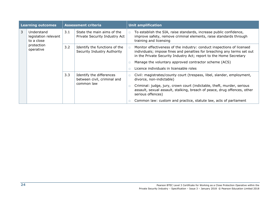| <b>Learning outcomes</b> |                                                  | <b>Assessment criteria</b> |                                                                       |        | <b>Unit amplification</b>                                                                                                                                                                                               |
|--------------------------|--------------------------------------------------|----------------------------|-----------------------------------------------------------------------|--------|-------------------------------------------------------------------------------------------------------------------------------------------------------------------------------------------------------------------------|
| 3                        | Understand<br>legislation relevant<br>to a close | 3.1                        | State the main aims of the<br>Private Security Industry Act           | $\Box$ | To establish the SIA, raise standards, increase public confidence,<br>improve safety, remove criminal elements, raise standards through<br>training and licensing                                                       |
|                          | protection<br>operative                          | 3.2                        | Identify the functions of the<br>Security Industry Authority          | $\Box$ | Monitor effectiveness of the industry: conduct inspections of licensed<br>individuals; impose fines and penalties for breaching any terms set out<br>in the Private Security Industry Act; report to the Home Secretary |
|                          |                                                  |                            |                                                                       | $\Box$ | Manage the voluntary approved contractor scheme (ACS)                                                                                                                                                                   |
|                          |                                                  |                            |                                                                       |        | Licence individuals in licensable roles                                                                                                                                                                                 |
|                          |                                                  | 3.3                        | Identify the differences<br>between civil, criminal and<br>common law | $\Box$ | Civil: magistrates/county court (trespass, libel, slander, employment,<br>divorce, non-indictable)                                                                                                                      |
|                          |                                                  |                            |                                                                       | $\Box$ | Criminal: judge, jury, crown court (indictable, theft, murder, serious<br>assault, sexual assault, stalking, breach of peace, drug offences, other<br>serious offences)                                                 |
|                          |                                                  |                            |                                                                       |        | Common law: custom and practice, statute law, acts of parliament                                                                                                                                                        |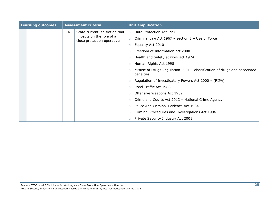| <b>Learning outcomes</b> |  | <b>Assessment criteria</b> |                                                        |        | <b>Unit amplification</b>                                                               |  |
|--------------------------|--|----------------------------|--------------------------------------------------------|--------|-----------------------------------------------------------------------------------------|--|
|                          |  | 3.4                        | State current legislation that                         | $\Box$ | Data Protection Act 1998                                                                |  |
|                          |  |                            | impacts on the role of a<br>close protection operative | $\Box$ | Criminal Law Act 1967 - section 3 - Use of Force                                        |  |
|                          |  |                            |                                                        | $\Box$ | Equality Act 2010                                                                       |  |
|                          |  |                            |                                                        | $\Box$ | Freedom of Information act 2000                                                         |  |
|                          |  |                            |                                                        | $\Box$ | Health and Safety at work act 1974                                                      |  |
|                          |  |                            |                                                        | $\Box$ | Human Rights Act 1998                                                                   |  |
|                          |  |                            |                                                        | $\Box$ | Misuse of Drugs Regulation $2001$ – classification of drugs and associated<br>penalties |  |
|                          |  |                            |                                                        | □      | Regulation of Investigatory Powers Act 2000 - (RIPA)                                    |  |
|                          |  |                            |                                                        | $\Box$ | Road Traffic Act 1988                                                                   |  |
|                          |  |                            |                                                        | $\Box$ | Offensive Weapons Act 1959                                                              |  |
|                          |  |                            |                                                        | $\Box$ | Crime and Courts Act 2013 - National Crime Agency                                       |  |
|                          |  |                            |                                                        | $\Box$ | Police And Criminal Evidence Act 1984                                                   |  |
|                          |  |                            |                                                        | □      | Criminal Procedures and Investigations Act 1996                                         |  |
|                          |  |                            |                                                        | $\Box$ | Private Security Industry Act 2001                                                      |  |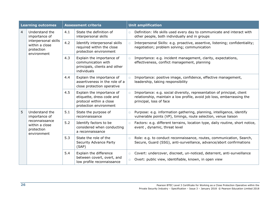| <b>Learning outcomes</b> |                                                                     | <b>Assessment criteria</b> |                                                                                                             |                  | <b>Unit amplification</b>                                                                                                                                                   |  |
|--------------------------|---------------------------------------------------------------------|----------------------------|-------------------------------------------------------------------------------------------------------------|------------------|-----------------------------------------------------------------------------------------------------------------------------------------------------------------------------|--|
| $\overline{4}$           | Understand the<br>importance of                                     | 4.1                        | State the definition of<br>interpersonal skills                                                             | $\Box$           | Definition: life skills used every day to communicate and interact with<br>other people, both individually and in groups                                                    |  |
|                          | interpersonal skills<br>within a close<br>protection<br>environment | 4.2                        | Identify interpersonal skills<br>required within the close<br>protection environment                        | $\Box$           | Interpersonal Skills: e.g. proactive, assertive, listening; confidentiality;<br>negotiation; problem solving; communication                                                 |  |
|                          |                                                                     | 4.3                        | Explain the importance of<br>communication with<br>principals, clients and other<br>individuals             | $\Box$           | Importance: e.g. incident management, clarity, expectations,<br>effectiveness, conflict management, planning                                                                |  |
|                          |                                                                     | 4.4                        | Explain the importance of<br>assertiveness in the role of a<br>close protection operative                   | $\Box$           | Importance: positive image, confidence, effective management,<br>leadership, taking responsibility                                                                          |  |
|                          |                                                                     | 4.5                        | Explain the importance of<br>etiquette, dress code and<br>protocol within a close<br>protection environment | $\Box$           | Importance: e.g. social diversity, representation of principal, client<br>relationship, maintain a low profile, avoid job loss, embarrassing the<br>principal, loss of face |  |
| 5                        | Understand the<br>importance of                                     | 5.1                        | State the purpose of<br>reconnaissance                                                                      | $\Box$           | Purpose: e.g. information gathering, planning, intelligence, identify<br>vulnerable points (VP), timings, route selection, venue liaison                                    |  |
|                          | reconnaissance<br>within a close<br>protection<br>environment       | 5.2                        | Identify factors to be<br>considered when conducting<br>a reconnaissance                                    | $\Box$           | Factors: e.g. different terrains, location type, daily routine, short notice,<br>event, dynamic, threat level                                                               |  |
|                          |                                                                     | 5.3                        | State the role of the<br>Security Advance Party<br>(SAP)                                                    | $\Box$           | Role: e.g. to conduct reconnaissance, routes, communication, Search,<br>Secure, Guard (SSG), anti-surveillance, advance/abort confirmations                                 |  |
|                          |                                                                     | 5.4                        | Explain the difference<br>between covert, overt, and<br>low profile reconnaissance                          | $\Box$<br>$\Box$ | Covert: undercover, discreet, un-noticed, deterrent, anti-surveillance<br>Overt: public view, identifiable, known, in open view                                             |  |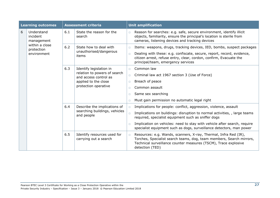| <b>Learning outcomes</b> |                                      | <b>Assessment criteria</b> |                                                                                                       |        | <b>Unit amplification</b>                                                                                                                                                                                                      |  |  |
|--------------------------|--------------------------------------|----------------------------|-------------------------------------------------------------------------------------------------------|--------|--------------------------------------------------------------------------------------------------------------------------------------------------------------------------------------------------------------------------------|--|--|
| 6                        | Understand<br>incident<br>management | 6.1                        | State the reason for the<br>search                                                                    | $\Box$ | Reason for searches: e.g. safe, secure environment, identify illicit<br>objects, familiarity, ensure the principal's location is sterile from<br>cameras, listening devices and tracking devices                               |  |  |
|                          | within a close<br>protection         | 6.2                        | State how to deal with<br>unauthorised/dangerous                                                      | $\Box$ | Items: weapons, drugs, tracking devices, IED, bombs, suspect packages                                                                                                                                                          |  |  |
|                          | environment                          |                            | items                                                                                                 | $\Box$ | Dealing with these: e.g. confiscate, secure, report, record, evidence,<br>citizen arrest, refuse entry, clear, cordon, confirm, Evacuate the<br>principal/team, emergency services                                             |  |  |
|                          |                                      | 6.3                        | Identify legislation in                                                                               | $\Box$ | Common law                                                                                                                                                                                                                     |  |  |
|                          |                                      |                            | relation to powers of search<br>and access control as<br>applied to the close<br>protection operative | $\Box$ | Criminal law act 1967 section 3 (Use of Force)                                                                                                                                                                                 |  |  |
|                          |                                      |                            |                                                                                                       | $\Box$ | Breach of peace                                                                                                                                                                                                                |  |  |
|                          |                                      |                            |                                                                                                       | $\Box$ | Common assault                                                                                                                                                                                                                 |  |  |
|                          |                                      |                            |                                                                                                       | $\Box$ | Same sex searching                                                                                                                                                                                                             |  |  |
|                          |                                      |                            |                                                                                                       | $\Box$ | Must gain permission no automatic legal right                                                                                                                                                                                  |  |  |
|                          |                                      | 6.4                        | Describe the implications of<br>searching buildings, vehicles<br>and people                           | $\Box$ | Implications for people: conflict, aggression, violence, assault                                                                                                                                                               |  |  |
|                          |                                      |                            |                                                                                                       | $\Box$ | Implications on buildings: disruption to normal activities, , large teams<br>required, specialist equipment such as sniffer dogs                                                                                               |  |  |
|                          |                                      |                            |                                                                                                       | $\Box$ | Implication on vehicles: need to stay with vehicle after search, require<br>specialist equipment such as dogs, surveillance detectors, man power                                                                               |  |  |
|                          |                                      | 6.5                        | Identify resources used for<br>carrying out a search                                                  | $\Box$ | Resources: e.g. Wands, scanners, X-ray, Thermal, Infra Red (IR),<br>Torches, Specialist search teams, dog, team members, Search mirrors,<br>Technical surveillance counter measures (TSCM), Trace explosive<br>detection (TED) |  |  |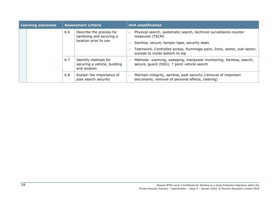| <b>Learning outcomes</b> |  | <b>Assessment criteria</b> |                                                                                |        | Unit amplification                                                                                                                                                                                                                                 |  |
|--------------------------|--|----------------------------|--------------------------------------------------------------------------------|--------|----------------------------------------------------------------------------------------------------------------------------------------------------------------------------------------------------------------------------------------------------|--|
|                          |  | 6.6                        | Describe the process for<br>sanitising and securing a<br>location prior to use |        | Physical search, systematic search, technical surveillance counter<br>measures (TSCM)<br>Sanitise, secure, tamper tape, security seals<br>Teamwork, Controlled access, Rummage pairs, Zone, sector, sub-sector,<br>outside to inside bottom to top |  |
|                          |  | 6.7                        | Identify methods for<br>securing a vehicle, building<br>and location           |        | Methods: scanning, sweeping, manpower monitoring; Sanitise, search,<br>secure, guard (SSG); 7 point vehicle search                                                                                                                                 |  |
|                          |  | 6.8                        | Explain the importance of<br>post search security                              | $\Box$ | Maintain integrity, sanitise, post security (removal of important<br>documents, removal of personal effects, clearing)                                                                                                                             |  |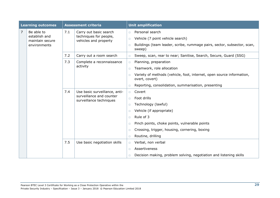| <b>Learning outcomes</b> |                                                                | <b>Assessment criteria</b> |                                                                                      |                                      | <b>Unit amplification</b>                                                                                                                |
|--------------------------|----------------------------------------------------------------|----------------------------|--------------------------------------------------------------------------------------|--------------------------------------|------------------------------------------------------------------------------------------------------------------------------------------|
| 7                        | Be able to<br>establish and<br>maintain secure<br>environments | 7.1                        | Carry out basic search<br>techniques for people,<br>vehicles and property            | $\Box$<br>$\Box$<br>$\Box$           | Personal search<br>Vehicle (7 point vehicle search)<br>Buildings (team leader, scribe, rummage pairs, sector, subsector, scan,<br>sweep) |
|                          |                                                                | 7.2                        | Carry out a room search                                                              | $\Box$                               | Sweep, scan, rear to near; Sanitise, Search, Secure, Guard (SSG)                                                                         |
|                          |                                                                | 7.3                        | Complete a reconnaissance<br>activity                                                | $\Box$<br>$\Box$                     | Planning, preparation<br>Teamwork, role allocation                                                                                       |
|                          |                                                                |                            |                                                                                      | $\Box$                               | Variety of methods (vehicle, foot, internet, open source information,<br>overt, covert)                                                  |
|                          |                                                                |                            |                                                                                      | $\Box$                               | Reporting, consolidation, summarisation, presenting                                                                                      |
|                          |                                                                | 7.4                        | Use basic surveillance, anti-<br>surveillance and counter<br>surveillance techniques | $\Box$<br>$\Box$<br>$\Box$<br>$\Box$ | Covert<br>Foot drills<br>Technology (lawful)<br>Vehicle (if appropriate)                                                                 |
|                          |                                                                |                            |                                                                                      | $\Box$                               | Rule of 3                                                                                                                                |
|                          |                                                                |                            |                                                                                      | $\Box$                               | Pinch points, choke points, vulnerable points                                                                                            |
|                          |                                                                |                            |                                                                                      | $\Box$                               | Crossing, trigger, housing, cornering, boxing                                                                                            |
|                          |                                                                |                            |                                                                                      | $\Box$                               | Routine, drilling                                                                                                                        |
|                          |                                                                | 7.5                        | Use basic negotiation skills                                                         | $\Box$                               | Verbal, non verbal                                                                                                                       |
|                          |                                                                |                            |                                                                                      | $\Box$                               | Assertiveness                                                                                                                            |
|                          |                                                                |                            |                                                                                      | $\Box$                               | Decision making, problem solving, negotiation and listening skills                                                                       |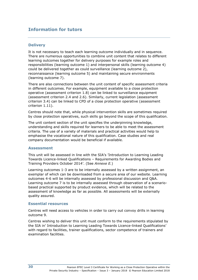### **Information for tutors**

### **Delivery**

It is not necessary to teach each learning outcome individually and in sequence. There are numerous opportunities to combine unit content that relates to different learning outcomes together for delivery purposes for example roles and responsibilities (learning outcome 1) and interpersonal skills (learning outcome 4) could be delivered together as could surveillance (learning outcome 2), reconnaissance (learning outcome 5) and maintaining secure environments (learning outcome 7).

There are also connections between the unit content of specific assessment criteria in different outcomes. For example, equipment available to a close protection operative (assessment criterion 1.8) can be linked to surveillance equipment (assessment criterion 2.4 and 2.6). Similarly, current legislation (assessment criterion 3.4) can be linked to CPD of a close protection operative (assessment criterion 1.11).

Centres should note that, while physical intervention skills are sometimes required by close protection operatives, such skills go beyond the scope of this qualification.

The unit content section of the unit specifies the underpinning knowledge, understanding and skills required for learners to be able to meet the assessment criteria. The use of a variety of materials and practical activities would help to emphasise the vocational nature of this qualification. Case studies and real company documentation would be beneficial if available.

#### **Assessment**

This unit will be assessed in line with the SIA's 'Introduction to Learning Leading Towards Licence-linked Qualifications – Requirements for Awarding Bodies and Training Providers October 2014'. (See *Annexe E.*)

Learning outcomes 1-3 are to be internally assessed by a written assignment, an exemplar of which can be downloaded from a secure area of our website. Learning outcomes 4-6 will be internally assessed by professional discussion and Q&A. Learning outcome 7 is to be internally assessed through observation of a scenariobased practical supported by product evidence, which will be related to the assessment of knowledge as far as possible. All assessments will be externally quality assured.

#### **Essential resources**

Centres will need access to vehicles in order to carry out convoy drills in learning outcome 9.

Centres wishing to deliver this unit must conform to the requirements stipulated by the SIA in' Introduction to Learning Leading Towards Licence-linked Qualifications' with regard to facilities, trainer qualifications, sector competence of trainers and examination facilities.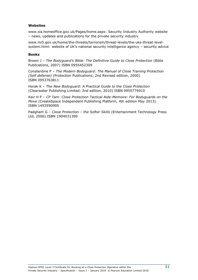#### **Websites**

www.sia.homeoffice.gov.uk/Pages/home.aspx: Security Industry Authority website – news, updates and publications for the private security industry

www.mi5.gov.uk/home/the-threats/terrorism/threat-levels/the-uks-threat-levelsystem.html: website of UK's national security intelligence agency – security advice

#### **Books**

Brown J – *The Bodyguard's Bible: The Definitive Guide to Close Protection* (Bible Publications, 2007) ISBN 0955452309

Consterdine P – *The Modern Bodyguard: The Manual of Close Training Protection (Self defense)* (Protection Publications; 2nd Revised edition, 2000) ISBN 0953763811

Horak K – *The New Bodyguard: A Practical Guide to the Close Protection* (Clearwater Publishing Limited; 2nd edition, 2010) ISBN 0955776910

Keir H P – *CP Tam: Close Protection Tactical Aide-Memoire: For Bodyguards on the Move* (CreateSpace Independent Publishing Platform, 4th edition May 2013) ISBN 1493590995

Padgham G – *Close Protection – the Softer Skills* (Entertainment Technology Press Ltd, 2006) ISBN 1904031390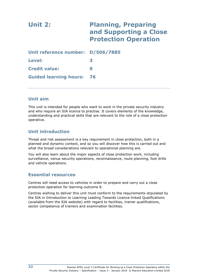| Unit 2:                           | <b>Planning, Preparing</b><br>and Supporting a Close<br><b>Protection Operation</b> |
|-----------------------------------|-------------------------------------------------------------------------------------|
| Unit reference number: D/506/7885 |                                                                                     |
| Level:                            | 3                                                                                   |
| <b>Credit value:</b>              | 9                                                                                   |
| <b>Guided learning hours:</b>     | 76                                                                                  |

## **Unit aim**

This unit is intended for people who want to work in the private security industry and who require an SIA licence to practise. It covers elements of the knowledge, understanding and practical skills that are relevant to the role of a close protection operative.

## **Unit introduction**

Threat and risk assessment is a key requirement in close protection, both in a planned and dynamic context, and so you will discover how this is carried out and what the broad considerations relevant to operational planning are.

You will also learn about the major aspects of close protection work, including surveillance, venue security operations, reconnaissance, route planning, foot drills and vehicle operations.

## **Essential resources**

Centres will need access to vehicles in order to prepare and carry out a close protection operation for learning outcome 8.

Centres wishing to deliver this unit must conform to the requirements stipulated by the SIA in Introduction to Learning Leading Towards Licence-linked Qualifications (available from the SIA website) with regard to facilities, trainer qualifications, sector competence of trainers and examination facilities.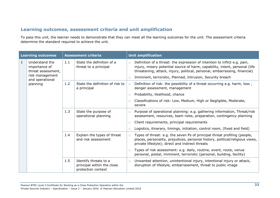## **Learning outcomes, assessment criteria and unit amplification**

To pass this unit, the learner needs to demonstrate that they can meet all the learning outcomes for the unit. The assessment criteria determine the standard required to achieve the unit.

|              | <b>Learning outcomes</b>                              |     | <b>Assessment criteria</b>                                                |        | <b>Unit amplification</b>                                                                                                                                                                                                              |  |  |
|--------------|-------------------------------------------------------|-----|---------------------------------------------------------------------------|--------|----------------------------------------------------------------------------------------------------------------------------------------------------------------------------------------------------------------------------------------|--|--|
| $\mathbf{1}$ | Understand the<br>importance of<br>threat assessment, | 1.1 | State the definition of a<br>threat to a principal                        | $\Box$ | Definition of a threat: the expression of intention to inflict e.g. pain,<br>injury, misery potential source of harm, capability, intent, personal (life<br>threatening, attack, injury, political, personal, embarrassing, financial) |  |  |
|              | risk management<br>and operational                    |     |                                                                           | $\Box$ | Imminent, terroristic, Planned, Intrusion, Security breach                                                                                                                                                                             |  |  |
|              | planning                                              | 1.2 | State the definition of risk to<br>a principal                            | $\Box$ | Definition of risk: the possibility of a threat occurring e.g. harm, loss,<br>danger assessment, management                                                                                                                            |  |  |
|              |                                                       |     |                                                                           | $\Box$ | Probability, likelihood, chance                                                                                                                                                                                                        |  |  |
|              |                                                       |     |                                                                           | $\Box$ | Classifications of risk: Low, Medium, High or Negligible, Moderate,<br>severe                                                                                                                                                          |  |  |
|              |                                                       | 1.3 | State the purpose of<br>operational planning                              | $\Box$ | Purpose of operational planning: e.g. gathering information, Threat/risk<br>assessment, resources, team roles, preparation, contingency planning                                                                                       |  |  |
|              |                                                       |     |                                                                           | $\Box$ | Client requirements, principal requirements                                                                                                                                                                                            |  |  |
|              |                                                       |     |                                                                           | $\Box$ | Logistics, itinerary, timings, initiation, control room, (fixed and field)                                                                                                                                                             |  |  |
|              |                                                       | 1.4 | Explain the types of threat<br>and risk assessment                        | $\Box$ | Types of threat: e.g. the seven Ps of principal threat profiling (people,<br>places, personality, prejudices, personal history, political/religious views,<br>private lifestyle); direct and indirect threats                          |  |  |
|              |                                                       |     |                                                                           | $\Box$ | Types of risk assessment: e.g. daily, routine, event, route, venue<br>personal, postal, imminent, terroristic (personal, building, facility)                                                                                           |  |  |
|              |                                                       | 1.5 | Identify threats to a<br>principal within the close<br>protection context | $\Box$ | Unwanted attention, unintentional injury, intentional injury or attack,<br>disruption of lifestyle, embarrassment, threat to public image                                                                                              |  |  |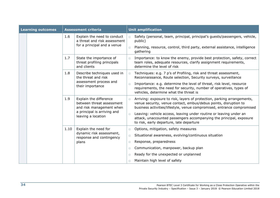| <b>Learning outcomes</b> |                                                                                        | <b>Assessment criteria</b>                                                                 |                        | <b>Unit amplification</b>                                                                                                                                                                                             |
|--------------------------|----------------------------------------------------------------------------------------|--------------------------------------------------------------------------------------------|------------------------|-----------------------------------------------------------------------------------------------------------------------------------------------------------------------------------------------------------------------|
|                          | 1.6                                                                                    | Explain the need to conduct<br>a threat and risk assessment<br>for a principal and a venue | $\Box$                 | Safety (personal, team, principal, principal's guests/passengers, vehicle,<br>public)                                                                                                                                 |
|                          |                                                                                        |                                                                                            | $\Box$                 | Planning, resource, control, third party, external assistance, intelligence<br>gathering                                                                                                                              |
|                          | 1.7                                                                                    | State the importance of<br>threat profiling principals<br>and clients                      | $\Box$                 | Importance: to know the enemy, provide best protection, safety, correct<br>team roles, adequate resources, clarify assignment requirements,<br>determine the level of risk                                            |
|                          | 1.8                                                                                    | Describe techniques used in<br>the threat and risk                                         | $\Box$                 | Techniques: e.g. 7 p's of Profiling, risk and threat assessment,<br>Reconnaissance, Route selection, Security surveys, surveillance                                                                                   |
|                          |                                                                                        | assessment process and<br>their importance                                                 | $\Box$                 | Importance: e.g. determine the level of threat, risk level, resource<br>requirements, the need for security, number of operatives, types of<br>vehicles, determine what the threat is                                 |
|                          | 1.9<br>Explain the difference<br>between threat assessment<br>and risk management when |                                                                                            | $\Box$                 | Arriving: exposure to risk, layers of protection, parking arrangements,<br>venue security, venue contact, embus/debus points, disruption to<br>business activities/lifestyle, venue compromised, entrance compromised |
|                          |                                                                                        | a principal is arriving and<br>leaving a location                                          | $\Box$                 | Leaving: vehicle access, leaving under routine or leaving under an<br>attack, unaccounted passengers accompanying the principal, exposure<br>to risk, early departure, late departure                                 |
|                          | 1.10                                                                                   | Explain the need for                                                                       | $\Box$                 | Options, mitigation, safety measures                                                                                                                                                                                  |
|                          |                                                                                        | dynamic risk assessment,<br>response and contingency                                       | $\Box$                 | Situational awareness, evolving/continuous situation                                                                                                                                                                  |
|                          | plans                                                                                  | $\Box$                                                                                     | Response, preparedness |                                                                                                                                                                                                                       |
|                          |                                                                                        |                                                                                            | $\Box$                 | Communication, manpower, backup plan                                                                                                                                                                                  |
|                          |                                                                                        |                                                                                            | $\Box$                 | Ready for the unexpected or unplanned                                                                                                                                                                                 |
|                          |                                                                                        |                                                                                            | $\Box$                 | Maintain high level of safety                                                                                                                                                                                         |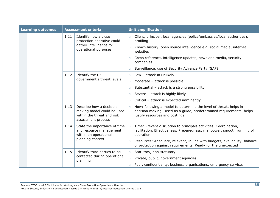| <b>Learning outcomes</b> |                                                                              | <b>Assessment criteria</b>                                                                                |                                                                                                                                            | <b>Unit amplification</b>                                                                                                                                                  |  |  |
|--------------------------|------------------------------------------------------------------------------|-----------------------------------------------------------------------------------------------------------|--------------------------------------------------------------------------------------------------------------------------------------------|----------------------------------------------------------------------------------------------------------------------------------------------------------------------------|--|--|
|                          | 1.11                                                                         | Identify how a close<br>protection operative could                                                        | $\Box$                                                                                                                                     | Client, principal, local agencies (police/embassies/local authorities),<br>profiling                                                                                       |  |  |
|                          |                                                                              | gather intelligence for<br>operational purposes                                                           | $\Box$                                                                                                                                     | Known history, open source intelligence e.g. social media, internet<br>websites                                                                                            |  |  |
|                          |                                                                              |                                                                                                           | $\Box$                                                                                                                                     | Cross reference, intelligence updates, news and media, security<br>companies                                                                                               |  |  |
|                          |                                                                              |                                                                                                           | $\Box$                                                                                                                                     | Surveillance, use of Security Advance Party (SAP)                                                                                                                          |  |  |
|                          | 1.12                                                                         | Identify the UK                                                                                           | $\Box$                                                                                                                                     | Low - attack in unlikely                                                                                                                                                   |  |  |
|                          |                                                                              | government's threat levels                                                                                | $\Box$                                                                                                                                     | Moderate - attack is possible                                                                                                                                              |  |  |
|                          |                                                                              |                                                                                                           | $\Box$                                                                                                                                     | Substantial - attack is a strong possibility                                                                                                                               |  |  |
|                          |                                                                              |                                                                                                           | $\Box$                                                                                                                                     | Severe - attack is highly likely                                                                                                                                           |  |  |
|                          |                                                                              |                                                                                                           | $\Box$                                                                                                                                     | Critical - attack is expected imminently                                                                                                                                   |  |  |
|                          | 1.13                                                                         | Describe how a decision<br>making model could be used<br>within the threat and risk<br>assessment process | $\Box$                                                                                                                                     | How: following a model to determine the level of threat, helps in<br>decision making, used as a guide, predetermined requirements, helps<br>justify resources and costings |  |  |
|                          | 1.14<br>and resource management<br>within an operational<br>planning context | State the importance of time                                                                              | $\Box$                                                                                                                                     | Time: Prevent disruption to principals activities, Coordination,<br>facilitation, Effectiveness, Preparedness, manpower, smooth running of<br>operation                    |  |  |
|                          |                                                                              | $\Box$                                                                                                    | Resources: Adequate, relevant, in line with budgets, availability, balance<br>of protection against requirements, Ready for the unexpected |                                                                                                                                                                            |  |  |
|                          | 1.15                                                                         | Identify third parties to be                                                                              | $\Box$                                                                                                                                     | Statutory, non-statutory                                                                                                                                                   |  |  |
|                          |                                                                              | contacted during operational<br>planning                                                                  | $\Box$                                                                                                                                     | Private, public, government agencies                                                                                                                                       |  |  |
|                          |                                                                              |                                                                                                           | $\Box$                                                                                                                                     | Peer, confidentiality, business organisations, emergency services                                                                                                          |  |  |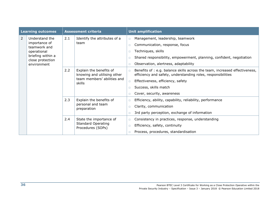|                | <b>Learning outcomes</b>              | <b>Assessment criteria</b> |                                                             |        | <b>Unit amplification</b>                                                                                                                   |
|----------------|---------------------------------------|----------------------------|-------------------------------------------------------------|--------|---------------------------------------------------------------------------------------------------------------------------------------------|
| $\overline{2}$ | Understand the                        | 2.1                        | Identify the attributes of a                                | $\Box$ | Management, leadership, teamwork                                                                                                            |
|                | importance of<br>teamwork and         |                            | team                                                        | $\Box$ | Communication, response, focus                                                                                                              |
|                | operational                           |                            |                                                             | $\Box$ | Techniques, skills                                                                                                                          |
|                | briefing within a<br>close protection |                            |                                                             | $\Box$ | Shared responsibility, empowerment, planning, confident, negotiation                                                                        |
|                | environment                           |                            |                                                             | $\Box$ | Observation, alertness, adaptability                                                                                                        |
|                |                                       | 2.2                        | Explain the benefits of<br>knowing and utilising other      | $\Box$ | Benefits of : e.g. balance skills across the team, increased effectiveness,<br>efficiency and safety, understanding roles, responsibilities |
|                |                                       |                            | team members' abilities and<br>skills                       | $\Box$ | Effectiveness, efficiency, safety                                                                                                           |
|                |                                       |                            |                                                             | $\Box$ | Success, skills match                                                                                                                       |
|                |                                       |                            |                                                             | $\Box$ | Cover, security, awareness                                                                                                                  |
|                |                                       | 2.3                        | Explain the benefits of<br>personal and team<br>preparation | $\Box$ | Efficiency, ability, capability, reliability, performance                                                                                   |
|                |                                       |                            |                                                             | $\Box$ | Clarity, communication                                                                                                                      |
|                |                                       |                            |                                                             | $\Box$ | 3rd party perception, exchange of information                                                                                               |
|                |                                       | 2.4                        | State the importance of                                     | $\Box$ | Consistency in practices, response, understanding                                                                                           |
|                |                                       |                            | <b>Standard Operating</b><br>Procedures (SOPs)              | $\Box$ | Efficiency, safety, continuity                                                                                                              |
|                |                                       |                            |                                                             | $\Box$ | Process, procedures, standardisation                                                                                                        |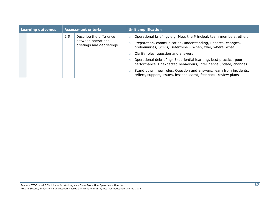| Learning outcomes |  | <b>Assessment criteria</b> |                                                                             | <b>Unit amplification</b>                                                                                                                                                                                                                                                                                                                                                                                                                              |  |
|-------------------|--|----------------------------|-----------------------------------------------------------------------------|--------------------------------------------------------------------------------------------------------------------------------------------------------------------------------------------------------------------------------------------------------------------------------------------------------------------------------------------------------------------------------------------------------------------------------------------------------|--|
|                   |  | 2.5                        | Describe the difference<br>between operational<br>briefings and debriefings | Operational briefing: e.g. Meet the Principal, team members, others<br>Preparation, communication, understanding, updates, changes,<br>preliminaries, SOP's, Determine - When, who, where, what<br>Clarify roles, question and answers<br>Operational debriefing- Experiential learning, best practice, poor<br>performance, Unexpected behaviours, intelligence update, changes<br>Stand down, new roles, Question and answers, learn from incidents, |  |
|                   |  |                            |                                                                             | reflect, support, issues, lessons learnt, feedback, review plans                                                                                                                                                                                                                                                                                                                                                                                       |  |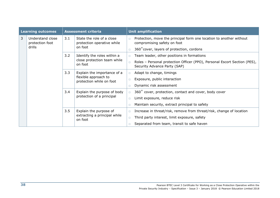| <b>Learning outcomes</b> |                                               | <b>Assessment criteria</b> |                                                                                 |                            | <b>Unit amplification</b>                                                                                                                                          |
|--------------------------|-----------------------------------------------|----------------------------|---------------------------------------------------------------------------------|----------------------------|--------------------------------------------------------------------------------------------------------------------------------------------------------------------|
| 3                        | Understand close<br>protection foot<br>drills | 3.1                        | State the role of a close<br>protection operative while<br>on foot              | $\Box$<br>$\Box$           | Protection, move the principal form one location to another without<br>compromising safety on foot<br>360° cover, layers of protection, cordons                    |
|                          |                                               | 3.2                        | Identify the roles within a<br>close protection team while<br>on foot           | $\Box$<br>$\Box$           | Team leader, other positions in formations<br>Roles - Personal protection Officer (PPO), Personal Escort Section (PES),<br>Security Advance Party (SAP)            |
|                          |                                               | 3.3                        | Explain the importance of a<br>flexible approach to<br>protection while on foot | $\Box$<br>$\Box$<br>$\Box$ | Adapt to change, timings<br>Exposure, public interaction<br>Dynamic risk assessment                                                                                |
|                          |                                               | 3.4                        | Explain the purpose of body<br>protection of a principal                        | $\Box$<br>$\Box$<br>$\Box$ | 360° cover, protection, contact and cover, body cover<br>Limit exposure, reduce risk<br>Maintain security, extract principal to safety                             |
|                          |                                               | 3.5                        | Explain the purpose of<br>extracting a principal while<br>on foot               | $\Box$<br>$\Box$           | Increase in threat/risk, remove from threat/risk, change of location<br>Third party interest, limit exposure, safety<br>Separated from team, transit to safe haven |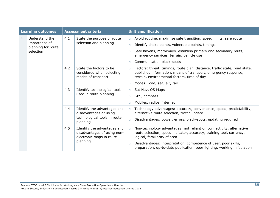|                | <b>Learning outcomes</b>            | <b>Assessment criteria</b> |                                                                                                   |        | <b>Unit amplification</b>                                                                                                                                                                   |
|----------------|-------------------------------------|----------------------------|---------------------------------------------------------------------------------------------------|--------|---------------------------------------------------------------------------------------------------------------------------------------------------------------------------------------------|
| $\overline{4}$ | Understand the                      | 4.1                        | State the purpose of route                                                                        | $\Box$ | Avoid routine, maximise safe transition, speed limits, safe route                                                                                                                           |
|                | importance of<br>planning for route |                            | selection and planning                                                                            | $\Box$ | Identify choke points, vulnerable points, timings                                                                                                                                           |
|                | selection                           |                            |                                                                                                   | $\Box$ | Safe havens, motorways, establish primary and secondary routs,<br>emergency services, terrain, vehicle use                                                                                  |
|                |                                     |                            |                                                                                                   | $\Box$ | Communication black-spots                                                                                                                                                                   |
|                |                                     | 4.2                        | State the factors to be<br>considered when selecting<br>modes of transport                        | $\Box$ | Factors: threat, timings, route plan, distance, traffic state, road state,<br>published information, means of transport, emergency response,<br>terrain, environmental factors, time of day |
|                |                                     |                            |                                                                                                   | $\Box$ | Modes: road, sea, air, rail                                                                                                                                                                 |
|                |                                     | 4.3                        | Identify technological tools<br>used in route planning                                            | $\Box$ | Sat Nav, OS Maps                                                                                                                                                                            |
|                |                                     |                            |                                                                                                   | $\Box$ | GPS, compass                                                                                                                                                                                |
|                |                                     |                            |                                                                                                   | $\Box$ | Mobiles, radios, internet                                                                                                                                                                   |
|                |                                     | 4.4                        | Identify the advantages and<br>disadvantages of using<br>technological tools in route<br>planning | $\Box$ | Technology advantages: accuracy, convenience, speed, predictability,<br>alternative route selection, traffic update                                                                         |
|                |                                     |                            |                                                                                                   | $\Box$ | Disadvantages: power, errors, black-spots, updating required                                                                                                                                |
|                |                                     | 4.5                        | Identify the advantages and<br>disadvantages of using non-<br>electronic maps in route            | $\Box$ | Non-technology advantages: not reliant on connectivity, alternative<br>route selection, speed indicator, accuracy, training tool, currency,<br>logical, familiarity of area                 |
|                |                                     |                            | planning                                                                                          | $\Box$ | Disadvantages: interpretation, competence of user, poor skills,<br>preparation, up-to-date publication, poor lighting, working in isolation                                                 |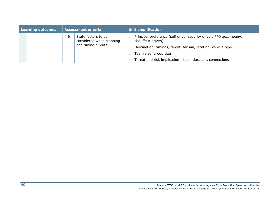| Learning outcomes |     | <b>Assessment criteria</b>                                            | <b>Unit amplification</b>                                                              |  |
|-------------------|-----|-----------------------------------------------------------------------|----------------------------------------------------------------------------------------|--|
|                   | 4.6 | State factors to be<br>considered when planning<br>and timing a route | Principal preference (self drive, security driver, PPO accompany,<br>chauffeur driven) |  |
|                   |     |                                                                       | Destination, timings, target, terrain, location, vehicle type                          |  |
|                   |     |                                                                       | Team size, group size                                                                  |  |
|                   |     |                                                                       | Threat and risk implication, stops, duration, connections                              |  |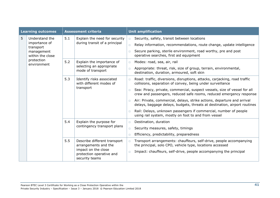|   | <b>Learning outcomes</b>       | <b>Assessment criteria</b> |                                                                                                                           |        | <b>Unit amplification</b>                                                                                                                            |
|---|--------------------------------|----------------------------|---------------------------------------------------------------------------------------------------------------------------|--------|------------------------------------------------------------------------------------------------------------------------------------------------------|
| 5 | Understand the                 | 5.1                        | Explain the need for security                                                                                             | $\Box$ | Security, safety, transit between locations                                                                                                          |
|   | importance of<br>transport     |                            | during transit of a principal                                                                                             | $\Box$ | Relay information, recommendations, route change, update intelligence                                                                                |
|   | management<br>within the close |                            |                                                                                                                           | $\Box$ | Secure parking, sterile environment, road worthy, pre and post<br>operative searches, first aid equipment                                            |
|   | protection<br>environment      | 5.2                        | Explain the importance of                                                                                                 | $\Box$ | Modes: road, sea, air, rail                                                                                                                          |
|   |                                |                            | selecting an appropriate<br>mode of transport                                                                             | $\Box$ | Appropriate: threat, risk, size of group, terrain, environmental,<br>destination, duration, armoured, soft skin                                      |
|   |                                | 5.3                        | Identify risks associated<br>with different modes of<br>transport                                                         | $\Box$ | Road: traffic, diversions, disruptions, attacks, carjacking, road traffic<br>collisions, separation of convey, being under surveillance              |
|   |                                |                            |                                                                                                                           | $\Box$ | Sea: Piracy, private, commercial, suspect vessels, size of vessel for all<br>crew and passengers, reduced safe rooms, reduced emergency response     |
|   |                                |                            |                                                                                                                           | $\Box$ | Air: Private, commercial, delays, strike actions, departure and arrival<br>delays, baggage delays, budgets, threats at destination, airport routines |
|   |                                |                            |                                                                                                                           | $\Box$ | Rail: Delays, unknown passengers if commercial, number of people<br>using rail system, mostly on foot to and from vessel                             |
|   |                                | 5.4                        | Explain the purpose for                                                                                                   | $\Box$ | Destination, duration                                                                                                                                |
|   |                                |                            | contingency transport plans                                                                                               | $\Box$ | Security measures, safety, timings                                                                                                                   |
|   |                                |                            |                                                                                                                           | $\Box$ | Efficiency, predictability, preparedness                                                                                                             |
|   |                                | 5.5                        | Describe different transport<br>arrangements and the<br>impact on the close<br>protection operative and<br>security teams | $\Box$ | Transport arrangements: chauffeurs, self-drive, people accompanying<br>the principal, solo CPO, vehicle type, locations accessed                     |
|   |                                |                            |                                                                                                                           | $\Box$ | Impact: chauffeurs, self-drive, people accompanying the principal                                                                                    |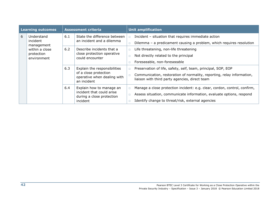| <b>Learning outcomes</b> |                           | <b>Assessment criteria</b> |                                                                     |        | <b>Unit amplification</b>                                                                                                |
|--------------------------|---------------------------|----------------------------|---------------------------------------------------------------------|--------|--------------------------------------------------------------------------------------------------------------------------|
| 6                        | Understand<br>incident    | 6.1                        | State the difference between<br>an incident and a dilemma           | $\Box$ | Incident - situation that requires immediate action                                                                      |
|                          | management                |                            |                                                                     |        | Dilemma – a predicament causing a problem, which requires resolution                                                     |
|                          | within a close            | 6.2                        | Describe incidents that a                                           |        | Life threatening, non-life threatening                                                                                   |
|                          | protection<br>environment |                            | close protection operative<br>could encounter                       |        | Not directly related to the principal                                                                                    |
|                          |                           |                            |                                                                     |        | Foreseeable, non-foreseeable                                                                                             |
|                          |                           | 6.3                        | Explain the responsibilities                                        | $\Box$ | Preservation of life, safety, self, team, principal, SOP, EOP                                                            |
|                          |                           |                            | of a close protection<br>operative when dealing with<br>an incident |        | Communication, restoration of normality, reporting, relay information,<br>liaison with third party agencies, direct team |
|                          |                           | 6.4                        | Explain how to manage an                                            | $\Box$ | Manage a close protection incident: e.g. clear, cordon, control, confirm,                                                |
|                          |                           |                            | incident that could arise<br>during a close protection              |        | Assess situation, communicate information, evaluate options, respond                                                     |
|                          |                           |                            | incident                                                            |        | Identify change to threat/risk, external agencies                                                                        |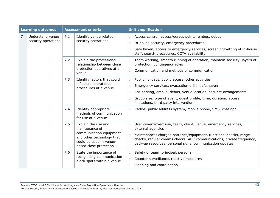|                | <b>Learning outcomes</b>                |     | <b>Assessment criteria</b>                                                                                                                         | <b>Unit amplification</b>                                                                                                                                                                                                                                                                                                       |
|----------------|-----------------------------------------|-----|----------------------------------------------------------------------------------------------------------------------------------------------------|---------------------------------------------------------------------------------------------------------------------------------------------------------------------------------------------------------------------------------------------------------------------------------------------------------------------------------|
| $\overline{7}$ | Understand venue<br>security operations | 7.1 | Identify venue related<br>security operations                                                                                                      | Access control, access/egress points, embus, debus<br>$\Box$<br>In-house security, emergency procedures<br>$\Box$<br>Safe haven, access to emergency services, screening/vetting of in-house<br>$\Box$<br>staff, search procedures, CCTV availability                                                                           |
|                |                                         | 7.2 | Explain the professional<br>relationship between close<br>protection operatives at a<br>venue                                                      | Team working, smooth running of operation, maintain security, layers of<br>$\Box$<br>protection, contingency roles<br>Communication and methods of communication<br>$\Box$                                                                                                                                                      |
|                |                                         | 7.3 | Identify factors that could<br>influence operational<br>procedures at a venue                                                                      | Public holidays, public access, other activities<br>$\Box$<br>Emergency services, evacuation drills, safe haven<br>$\Box$<br>Car parking, embus, debus, venue location, security arrangements<br>$\Box$<br>Group size, type of event, guest profile, time, duration, access,<br>$\Box$<br>limitations, third party intervention |
|                |                                         | 7.4 | Identify appropriate<br>methods of communication<br>for use at a venue                                                                             | Radios, public address system, mobile phone, SMS, chat app<br>$\Box$                                                                                                                                                                                                                                                            |
|                |                                         | 7.5 | Explain the use and<br>maintenance of<br>communication equipment<br>and other technology that<br>could be used in venue-<br>based close protection | Use: covert/overt use, team, client, venue, emergency services,<br>$\Box$<br>external agencies<br>Maintenance: charged batteries/equipment, functional checks, range<br>$\Box$<br>checks, regular comms checks, ABC communications, private frequency,<br>back-up resources, personal skills, communication updates             |
|                |                                         | 7.6 | State the importance of<br>recognising communication<br>black spots within a venue                                                                 | Safety of team, principal, personal<br>$\Box$<br>Counter surveillance, reactive measures<br>$\Box$<br>Planning and coordination<br>$\Box$                                                                                                                                                                                       |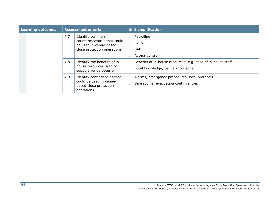|  | <b>Learning outcomes</b> | <b>Assessment criteria</b> |                                                                                                        |        | <b>Unit amplification</b>                                                                       |  |  |
|--|--------------------------|----------------------------|--------------------------------------------------------------------------------------------------------|--------|-------------------------------------------------------------------------------------------------|--|--|
|  |                          | 7.7                        | Identify common<br>countermeasures that could<br>be used in venue-based<br>close protection operations | П.     | Patrolling<br><b>CCTV</b><br><b>SAP</b><br>Access control                                       |  |  |
|  |                          | 7.8                        | Identify the benefits of in-<br>house resources used to<br>support venue security                      | $\Box$ | Benefits of in-house resources: e.g. ease of in-house staff<br>Local knowledge, venue knowledge |  |  |
|  |                          | 7.9                        | Identify contingencies that<br>could be used in venue-<br>based close protection<br>operations         | $\Box$ | Alarms, emergency procedures, local protocols<br>Safe rooms, evacuation contingencies           |  |  |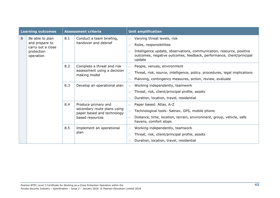|   | <b>Learning outcomes</b>            |     | <b>Assessment criteria</b>                                                       |        | <b>Unit amplification</b>                                                                                                                              |
|---|-------------------------------------|-----|----------------------------------------------------------------------------------|--------|--------------------------------------------------------------------------------------------------------------------------------------------------------|
| 8 | Be able to plan                     | 8.1 | Conduct a team briefing,                                                         | $\Box$ | Varying threat levels, risk                                                                                                                            |
|   | and prepare to<br>carry out a close |     | handover and debrief                                                             | $\Box$ | Roles, responsibilities                                                                                                                                |
|   | protection<br>operation             |     |                                                                                  | $\Box$ | Intelligence update, observations, communication, resource, positive<br>outcomes, negative outcomes, feedback, performance, client/principal<br>update |
|   |                                     | 8.2 | Complete a threat and risk                                                       | $\Box$ | People, venues, environment                                                                                                                            |
|   |                                     |     | assessment using a decision<br>making model                                      | $\Box$ | Threat, risk, source, intelligence, policy, procedures, legal implications                                                                             |
|   |                                     |     |                                                                                  | $\Box$ | Planning, contingency measures, action, review, evaluate                                                                                               |
|   |                                     | 8.3 | Develop an operational plan                                                      | $\Box$ | Working independently, teamwork                                                                                                                        |
|   |                                     |     |                                                                                  | $\Box$ | Threat, risk, client/principal profile, assets                                                                                                         |
|   |                                     |     |                                                                                  | $\Box$ | Duration, location, travel, residential                                                                                                                |
|   |                                     | 8.4 | Produce primary and<br>secondary route plans using<br>paper based and technology | $\Box$ | Paper based: Atlas, A-Z                                                                                                                                |
|   |                                     |     |                                                                                  | $\Box$ | Technological tools: Satnav, GPS, mobile phone                                                                                                         |
|   |                                     |     | based resources                                                                  | $\Box$ | Distance, time, location, terrain, environment, group, vehicle, safe<br>havens, comfort stops                                                          |
|   |                                     | 8.5 | Implement an operational                                                         | $\Box$ | Working independently, teamwork                                                                                                                        |
|   |                                     |     | plan                                                                             | $\Box$ | Threat, risk, client/principal profile, assets                                                                                                         |
|   |                                     |     |                                                                                  |        | Duration, location, travel, residential                                                                                                                |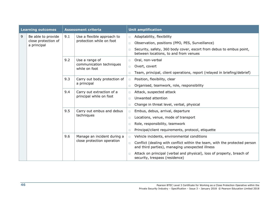|   | <b>Learning outcomes</b>           |     | <b>Assessment criteria</b>                           |        | <b>Unit amplification</b>                                                                                                     |
|---|------------------------------------|-----|------------------------------------------------------|--------|-------------------------------------------------------------------------------------------------------------------------------|
| 9 | Be able to provide                 | 9.1 | Use a flexible approach to                           | $\Box$ | Adaptability, flexibility                                                                                                     |
|   | close protection of<br>a principal |     | protection while on foot                             | $\Box$ | Observation, positions (PPO, PES, Surveillance)                                                                               |
|   |                                    |     |                                                      | $\Box$ | Security, safety, 360 body cover, escort from debus to embus point,<br>between locations, to and from venues                  |
|   |                                    | 9.2 | Use a range of                                       | $\Box$ | Oral, non-verbal                                                                                                              |
|   |                                    |     | communication techniques<br>while on foot            | $\Box$ | Overt, covert                                                                                                                 |
|   |                                    |     |                                                      | $\Box$ | Team, principal, client operations, report (relayed in briefing/debrief)                                                      |
|   |                                    | 9.3 | Carry out body protection of<br>a principal          | $\Box$ | Position, flexibility, clear                                                                                                  |
|   |                                    |     |                                                      | $\Box$ | Organised, teamwork, role, responsibility                                                                                     |
|   |                                    | 9.4 | Carry out extraction of a<br>principal while on foot | $\Box$ | Attack, suspected attack                                                                                                      |
|   |                                    |     |                                                      | $\Box$ | Unwanted attention                                                                                                            |
|   |                                    |     |                                                      | $\Box$ | Change in threat level, verbal, physical                                                                                      |
|   |                                    | 9.5 | Carry out embus and debus<br>techniques              | $\Box$ | Embus, debus, arrival, departure                                                                                              |
|   |                                    |     |                                                      | $\Box$ | Locations, venue, mode of transport                                                                                           |
|   |                                    |     |                                                      | $\Box$ | Role, responsibility, teamwork                                                                                                |
|   |                                    |     |                                                      | $\Box$ | Principal/client requirements, protocol, etiquette                                                                            |
|   |                                    | 9.6 | Manage an incident during a                          | $\Box$ | Vehicle incidents, environmental conditions                                                                                   |
|   |                                    |     | close protection operation                           | $\Box$ | Conflict (dealing with conflict within the team, with the protected person<br>and third parties), managing unexpected illness |
|   |                                    |     |                                                      | $\Box$ | Attack on principal (verbal and physical), loss of property, breach of<br>security, trespass (residence)                      |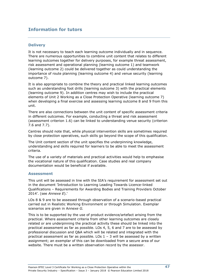## **Information for tutors**

#### **Delivery**

It is not necessary to teach each learning outcome individually and in sequence. There are numerous opportunities to combine unit content that relates to different learning outcomes together for delivery purposes, for example threat assessment, risk assessment and operational planning (learning outcome 1) and teamwork (learning outcome 2) could be delivered together as could understanding the importance of route planning (learning outcome 4) and venue security (learning outcome 7).

It is also appropriate to combine the theory and practical linked learning outcomes such as understanding foot drills (learning outcome 3) with the practical elements (learning outcome 9). In addition centres may wish to include the practical elements of Unit 2 Working as a Close Protection Operative (learning outcome 7) when developing a final exercise and assessing learning outcome 8 and 9 from this unit.

There are also connections between the unit content of specific assessment criteria in different outcomes. For example, conducting a threat and risk assessment (assessment criterion 1.6) can be linked to understanding venue security (criterion 7.6 and 7.7).

Centres should note that, while physical intervention skills are sometimes required by close protection operatives, such skills go beyond the scope of this qualification.

The Unit content section of the unit specifies the underpinning knowledge, understanding and skills required for learners to be able to meet the assessment criteria.

The use of a variety of materials and practical activities would help to emphasise the vocational nature of this qualification. Case studies and real company documentation would be beneficial if available.

#### **Assessment**

This unit will be assessed in line with the SIA's requirement for assessment set out in the document 'Introduction to Learning Leading Towards Licence-linked Qualifications – Requirements for Awarding Bodies and Training Providers October 2014'. (see *Annexe E*).'

LOs 8 & 9 are to be assessed through observation of a scenario-based practical carried out in Realistic Working Environment or through Simulation. Exemplar scenarios are given in A*nnexe G.*

This is to be supported by the use of product evidence/artefact arising from the practical. Where assessment criteria from other learning outcomes are closely related or are underpinning the practical activity these should be linked into the practical assessment as far as possible. LOs 4, 5, 6 and 7 are to be assessed by professional discussion and Q&A which will be related and integrated with the practical assessment as far as possible. LOs  $1 - 3$  will be assessed by a written assignment; an exemplar of this can be downloaded from a secure area of our website. There must be a written observation record by the assessor.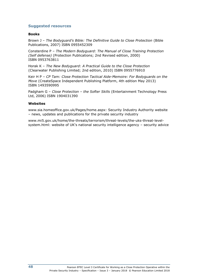#### **Suggested resources**

#### **Books**

Brown J - The Bodyguard's Bible: The Definitive Guide to Close Protection (Bible Publications, 2007) ISBN 0955452309

Consterdine P – *The Modern Bodyguard: The Manual of Close Training Protection (Self defense)* (Protection Publications; 2nd Revised edition, 2000) ISBN 0953763811

Horak K – *The New Bodyguard: A Practical Guide to the Close Protection* (Clearwater Publishing Limited; 2nd edition, 2010) ISBN 0955776910

Keir H P – *CP Tam: Close Protection Tactical Aide-Memoire: For Bodyguards on the Move* (CreateSpace Independent Publishing Platform, 4th edition May 2013) ISBN 1493590995

Padgham G – *Close Protection – the Softer Skills* (Entertainment Technology Press Ltd, 2006) ISBN 1904031390

#### **Websites**

www.sia.homeoffice.gov.uk/Pages/home.aspx: Security Industry Authority website – news, updates and publications for the private security industry

www.mi5.gov.uk/home/the-threats/terrorism/threat-levels/the-uks-threat-levelsystem.html: website of UK's national security intelligence agency – security advice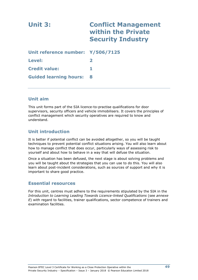| Unit 3:                           | <b>Conflict Management</b><br>within the Private<br><b>Security Industry</b> |
|-----------------------------------|------------------------------------------------------------------------------|
| Unit reference number: Y/506/7125 |                                                                              |
| Level:                            |                                                                              |
| <b>Credit value:</b>              | 1                                                                            |
| <b>Guided learning hours:</b>     | 8                                                                            |

## **Unit aim**

This unit forms part of the SIA licence-to-practise qualifications for door supervisors, security officers and vehicle immobilisers. It covers the principles of conflict management which security operatives are required to know and understand.

## **Unit introduction**

It is better if potential conflict can be avoided altogether, so you will be taught techniques to prevent potential conflict situations arising. You will also learn about how to manage conflict that does occur, particularly ways of assessing risk to yourself and about how to behave in a way that will defuse the situation.

Once a situation has been defused, the next stage is about solving problems and you will be taught about the strategies that you can use to do this. You will also learn about post-incident considerations, such as sources of support and why it is important to share good practice.

## **Essential resources**

For this unit, centres must adhere to the requirements stipulated by the SIA in the *Introduction to Learning Leading Towards Licence-linked Qualifications* (see *annexe E*) with regard to facilities, trainer qualifications, sector competence of trainers and examination facilities.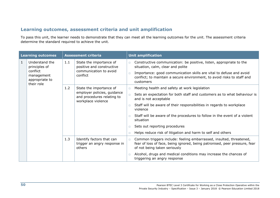## **Learning outcomes, assessment criteria and unit amplification**

To pass this unit, the learner needs to demonstrate that they can meet all the learning outcomes for the unit. The assessment criteria determine the standard required to achieve the unit.

|              | <b>Learning outcomes</b>                                  |     | <b>Assessment criteria</b>                                                                 |                  | <b>Unit amplification</b>                                                                                                                                                                                                                                  |
|--------------|-----------------------------------------------------------|-----|--------------------------------------------------------------------------------------------|------------------|------------------------------------------------------------------------------------------------------------------------------------------------------------------------------------------------------------------------------------------------------------|
| $\mathbf{1}$ | Understand the<br>principles of<br>conflict<br>management | 1.1 | State the importance of<br>positive and constructive<br>communication to avoid<br>conflict | $\Box$<br>$\Box$ | Constructive communication: be positive, listen, appropriate to the<br>situation, calm, clear and polite<br>Importance: good communication skills are vital to defuse and avoid<br>conflict; to maintain a secure environment, to avoid risks to staff and |
|              | appropriate to<br>their role                              |     |                                                                                            |                  | customers                                                                                                                                                                                                                                                  |
|              |                                                           | 1.2 | State the importance of                                                                    | $\Box$           | Meeting health and safety at work legislation                                                                                                                                                                                                              |
|              |                                                           |     | employer policies, guidance<br>and procedures relating to<br>workplace violence            | $\Box$           | Sets an expectation for both staff and customers as to what behaviour is<br>and is not acceptable                                                                                                                                                          |
|              |                                                           |     |                                                                                            | $\Box$           | Staff will be aware of their responsibilities in regards to workplace<br>violence                                                                                                                                                                          |
|              |                                                           |     |                                                                                            |                  | Staff will be aware of the procedures to follow in the event of a violent<br>situation                                                                                                                                                                     |
|              |                                                           |     |                                                                                            | $\Box$           | Sets out reporting procedures                                                                                                                                                                                                                              |
|              |                                                           |     |                                                                                            | $\Box$           | Helps reduce risk of litigation and harm to self and others                                                                                                                                                                                                |
|              |                                                           | 1.3 | Identify factors that can<br>trigger an angry response in<br>others                        | $\Box$           | Common triggers include: feeling embarrassed, insulted, threatened,<br>fear of loss of face, being ignored, being patronised, peer pressure, fear<br>of not being taken seriously                                                                          |
|              |                                                           |     |                                                                                            | $\Box$           | Alcohol, drugs and medical conditions may increase the chances of<br>triggering an angry response                                                                                                                                                          |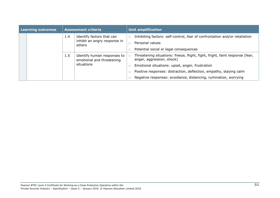|  | Learning outcomes | <b>Assessment criteria</b> |                                                                        | <b>Unit amplification</b> |                                                                                                           |  |  |
|--|-------------------|----------------------------|------------------------------------------------------------------------|---------------------------|-----------------------------------------------------------------------------------------------------------|--|--|
|  |                   | 1.4                        | Identify factors that can<br>inhibit an angry response in              |                           | Inhibiting factors: self-control, fear of confrontation and/or retaliation                                |  |  |
|  |                   |                            | others                                                                 |                           | Personal values                                                                                           |  |  |
|  |                   |                            |                                                                        |                           | Potential social or legal consequences                                                                    |  |  |
|  |                   | 1.5                        | Identify human responses to<br>emotional and threatening<br>situations |                           | Threatening situations: freeze, flight, fight, fright, faint response (fear,<br>anger, aggression, shock) |  |  |
|  |                   |                            |                                                                        |                           | Emotional situations: upset, anger, frustration                                                           |  |  |
|  |                   |                            |                                                                        |                           | Positive responses: distraction, deflection, empathy, staying calm                                        |  |  |
|  |                   |                            |                                                                        |                           | Negative responses: avoidance, distancing, rumination, worrying                                           |  |  |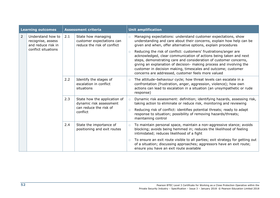|                | <b>Learning outcomes</b>                                                            |     | <b>Assessment criteria</b>                                                                    |                  | <b>Unit amplification</b>                                                                                                                                                                                                                                                                                                                       |
|----------------|-------------------------------------------------------------------------------------|-----|-----------------------------------------------------------------------------------------------|------------------|-------------------------------------------------------------------------------------------------------------------------------------------------------------------------------------------------------------------------------------------------------------------------------------------------------------------------------------------------|
| $\overline{2}$ | Understand how to<br>recognise, assess<br>and reduce risk in<br>conflict situations | 2.1 | State how managing<br>customer expectations can<br>reduce the risk of conflict                | $\Box$<br>$\Box$ | Managing expectations: understand customer expectations, show<br>understanding and care about their concerns, explain how help can be<br>given and when, offer alternative options, explain procedures<br>Reducing the risk of conflict: customers' frustrations/anger are<br>acknowledged, clear communication of actions being taken and next |
|                |                                                                                     |     |                                                                                               |                  | steps, demonstrating care and consideration of customer concerns,<br>giving an explanation of decision- making process and involving the<br>customer in decision making, timescales and outcome; customer<br>concerns are addressed, customer feels more valued                                                                                 |
|                |                                                                                     | 2.2 | Identify the stages of<br>escalation in conflict<br>situations                                | $\Box$           | The attitude-behaviour cycle; how threat levels can escalate in a<br>confrontation (frustration, anger, aggression, violence); how own<br>actions can lead to escalation in a situation (an unsympathetic or rude<br>response)                                                                                                                  |
|                |                                                                                     | 2.3 | State how the application of<br>dynamic risk assessment<br>can reduce the risk of<br>conflict | $\Box$           | Dynamic risk assessment: definition; identifying hazards, assessing risk,<br>taking action to eliminate or reduce risk, monitoring and reviewing                                                                                                                                                                                                |
|                |                                                                                     |     |                                                                                               | $\Box$           | Reducing risk of conflict: identifies potential threats; ready to adapt<br>response to situation; possibility of removing hazards/threats;<br>maintaining control                                                                                                                                                                               |
|                |                                                                                     | 2.4 | State the importance of<br>positioning and exit routes                                        | $\Box$           | To maintain personal space, maintain a non-aggressive stance; avoids<br>blocking; avoids being hemmed in; reduces the likelihood of feeling<br>intimidated; reduces likelihood of a fight                                                                                                                                                       |
|                |                                                                                     |     |                                                                                               | $\Box$           | To ensure an exit route visible to all parties; exit strategy for getting out<br>of a situation; discussing approaches; aggressors have an exit route;<br>ensure you have an exit route available                                                                                                                                               |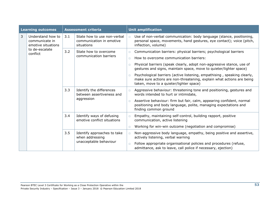|                | <b>Learning outcomes</b>                                  |     | <b>Assessment criteria</b>                                               |                  | <b>Unit amplification</b>                                                                                                                                                                    |
|----------------|-----------------------------------------------------------|-----|--------------------------------------------------------------------------|------------------|----------------------------------------------------------------------------------------------------------------------------------------------------------------------------------------------|
| $\overline{3}$ | Understand how to<br>communicate in<br>emotive situations | 3.1 | State how to use non-verbal<br>communication in emotive<br>situations    | $\Box$           | Use of non-verbal communication: body language (stance, positioning,<br>personal space, movements, hand gestures, eye contact); voice (pitch,<br>inflection, volume)                         |
|                | to de-escalate<br>conflict                                | 3.2 | State how to overcome<br>communication barriers                          | $\Box$<br>$\Box$ | Communication barriers: physical barriers; psychological barriers<br>How to overcome communication barriers:                                                                                 |
|                |                                                           |     |                                                                          | $\Box$           | Physical barriers (speak clearly, adopt non-aggressive stance, use of<br>gestures and signs, maintain space, move to quieter/lighter space)                                                  |
|                |                                                           |     |                                                                          | $\Box$           | Psychological barriers (active listening, empathising, speaking clearly,<br>make sure actions are non-threatening, explain what actions are being<br>taken, move to a quieter/lighter space) |
|                |                                                           | 3.3 | Identify the differences<br>between assertiveness and                    | $\Box$           | Aggressive behaviour: threatening tone and positioning, gestures and<br>words intended to hurt or intimidate,                                                                                |
|                |                                                           |     | aggression                                                               | $\Box$           | Assertive behaviour: firm but fair, calm, appearing confident, normal<br>positioning and body language, polite, managing expectations and<br>finding common ground                           |
|                |                                                           | 3.4 | Identify ways of defusing<br>emotive conflict situations                 | $\Box$           | Empathy, maintaining self-control, building rapport, positive<br>communication, active listening                                                                                             |
|                |                                                           |     |                                                                          | $\Box$           | Working for win-win outcome (negotiation and compromise)                                                                                                                                     |
|                |                                                           | 3.5 | Identify approaches to take<br>when addressing<br>unacceptable behaviour | $\Box$           | Non-aggressive body language, empathy, being positive and assertive,<br>actively listening, verbal warning                                                                                   |
|                |                                                           |     |                                                                          | $\Box$           | Follow appropriate organisational policies and procedures (refuse,<br>admittance, ask to leave, call police if necessary, ejection)                                                          |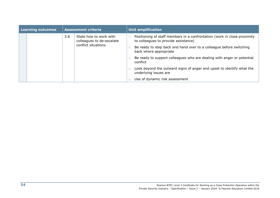|  | Learning outcomes | <b>Assessment criteria</b> |                                                                                                                                           | <b>Unit amplification</b>                                             |                                                                                                                  |  |
|--|-------------------|----------------------------|-------------------------------------------------------------------------------------------------------------------------------------------|-----------------------------------------------------------------------|------------------------------------------------------------------------------------------------------------------|--|
|  |                   | 3.6                        | State how to work with<br>colleagues to de-escalate<br>conflict situations<br>back where appropriate<br>conflict<br>underlying issues are |                                                                       | Positioning of staff members in a confrontation (work in close proximity<br>to colleagues to provide assistance) |  |
|  |                   |                            |                                                                                                                                           |                                                                       | Be ready to step back and hand over to a colleague before switching                                              |  |
|  |                   |                            |                                                                                                                                           |                                                                       | Be ready to support colleagues who are dealing with anger or potential                                           |  |
|  |                   |                            |                                                                                                                                           | Look beyond the outward signs of anger and upset to identify what the |                                                                                                                  |  |
|  |                   |                            |                                                                                                                                           |                                                                       | Use of dynamic risk assessment                                                                                   |  |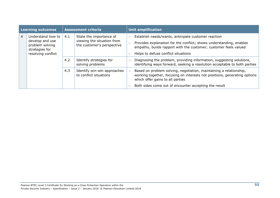|   | <b>Learning outcomes</b>                                                                        |     | <b>Assessment criteria</b>                                                          |        | <b>Unit amplification</b>                                                                                                                                                                                                             |
|---|-------------------------------------------------------------------------------------------------|-----|-------------------------------------------------------------------------------------|--------|---------------------------------------------------------------------------------------------------------------------------------------------------------------------------------------------------------------------------------------|
| 4 | Understand how to<br>develop and use<br>problem solving<br>strategies for<br>resolving conflict | 4.1 | State the importance of<br>viewing the situation from<br>the customer's perspective | $\Box$ | Establish needs/wants, anticipate customer reaction<br>Provides explanation for the conflict; shows understanding, enables<br>empathy, builds rapport with the customer; customer feels valued<br>Helps to defuse conflict situations |
|   |                                                                                                 | 4.2 | Identify strategies for<br>solving problems                                         |        | Diagnosing the problem, providing information, suggesting solutions,<br>identifying ways forward, seeking a resolution acceptable to both parties                                                                                     |
|   |                                                                                                 | 4.3 | Identify win-win approaches<br>to conflict situations                               |        | Based on problem solving, negotiation, maintaining a relationship,<br>working together, focusing on interests not positions, generating options<br>which offer gains to all parties                                                   |
|   |                                                                                                 |     |                                                                                     |        | Both sides come out of encounter accepting the result                                                                                                                                                                                 |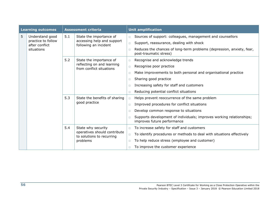|   | <b>Learning outcomes</b>             |     | <b>Assessment criteria</b>                                |        | <b>Unit amplification</b>                                                                           |
|---|--------------------------------------|-----|-----------------------------------------------------------|--------|-----------------------------------------------------------------------------------------------------|
| 5 | Understand good                      | 5.1 | State the importance of                                   | $\Box$ | Sources of support: colleagues, management and counsellors                                          |
|   | practice to follow<br>after conflict |     | accessing help and support<br>following an incident       | $\Box$ | Support, reassurance, dealing with shock                                                            |
|   | situations                           |     |                                                           | $\Box$ | Reduces the chances of long-term problems (depression, anxiety, fear,<br>post-traumatic stress)     |
|   |                                      | 5.2 | State the importance of                                   | $\Box$ | Recognise and acknowledge trends                                                                    |
|   |                                      |     | reflecting on and learning<br>from conflict situations    | $\Box$ | Recognise poor practice                                                                             |
|   |                                      |     |                                                           | $\Box$ | Make improvements to both personal and organisational practice                                      |
|   |                                      |     |                                                           | $\Box$ | Sharing good practice                                                                               |
|   |                                      |     |                                                           | $\Box$ | Increasing safety for staff and customers                                                           |
|   |                                      |     |                                                           | $\Box$ | Reducing potential conflict situations                                                              |
|   |                                      | 5.3 | State the benefits of sharing<br>good practice            | $\Box$ | Helps prevent reoccurrence of the same problem                                                      |
|   |                                      |     |                                                           | $\Box$ | Improved procedures for conflict situations                                                         |
|   |                                      |     |                                                           | $\Box$ | Develop common response to situations                                                               |
|   |                                      |     |                                                           | n      | Supports development of individuals; improves working relationships;<br>improves future performance |
|   |                                      | 5.4 | State why security                                        | $\Box$ | To increase safety for staff and customers                                                          |
|   |                                      |     | operatives should contribute<br>to solutions to recurring | $\Box$ | To identify procedures or methods to deal with situations effectively                               |
|   |                                      |     | problems                                                  | $\Box$ | To help reduce stress (employee and customer)                                                       |
|   |                                      |     |                                                           | $\Box$ | To improve the customer experience                                                                  |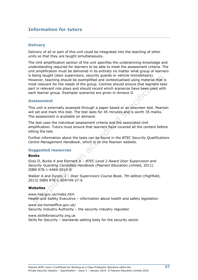## **Information for tutors**

#### **Delivery**

Delivery of all or part of this unit could be integrated into the teaching of other units so that they are taught simultaneously.

The Unit amplification section of the unit specifies the underpinning knowledge and understanding required for learners to be able to meet the assessment criteria. The unit amplification must be delivered in its entirety no matter what group of learners is being taught (door supervisors, security guards or vehicle immobilisers). However, teaching should be exemplified and contextualised using material that is most relevant for the needs of the group. Centres should ensure that learners take part in relevant role plays and should record which scenarios have been used with each learner group. Exemplar scenarios are given in *Annexe G.*

#### **Assessment**

This unit is externally assessed through a paper based or an onscreen test. Pearson will set and mark this test. The test lasts for 45 minutes and is worth 35 marks. The assessment is available on demand.

The test uses the individual assessment criteria and the associated Unit amplification. Tutors must ensure that learners have covered all the content before sitting the test.

Further information about the tests can be found in the *BTEC Security Qualifications Centre Management Handbook*, which is on the Pearson website.

#### **Suggested resources**

#### **Books**

Gray D, Burke A and Element A – *BTEC Level 2 Award Door Supervision and Security Guarding Candidate Handbook* (Pearson Education Limited, 2011) ISBN 978-1-4469-0010-9

Walker A and Dyson, J – *Door Supervisors Course Book*, 7th edition (Highfield, 2013) ISBN 978-1-909749-27-6

#### **Websites**

[www.hse.gov.uk/index.htm](http://www.hse.gov.uk/index.htm) Health and Safety Executive – information about health and safety legislation

www.sia.homeoffice.gov.uk/ Security Industry Authority – the security industry regulator

www.skillsforsecurity.org.uk Skills for Security – standards setting body for the security sector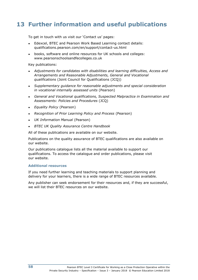## **13 Further information and useful publications**

To get in touch with us visit our 'Contact us' pages:

- Edexcel, BTEC and Pearson Work Based Learning contact details: qualifications.pearson.com/en/support/contact-us.html
- books, software and online resources for UK schools and colleges: www.pearsonschoolsandfecolleges.co.uk

Key publications:

- *Adjustments for candidates with disabilities and learning difficulties, Access and Arrangements and Reasonable Adjustments, General and Vocational qualifications* (Joint Council for Qualifications (JCQ))
- *Supplementary guidance for reasonable adjustments and special consideration in vocational internally assessed units* (Pearson)
- *General and Vocational qualifications, Suspected Malpractice in Examination and Assessments: Policies and Procedures* (JCQ)
- *Equality Policy* (Pearson)
- *Recognition of Prior Learning Policy and Process* (Pearson)
- *UK Information Manual* (Pearson)
- **BTEC UK Quality Assurance Centre Handbook**

All of these publications are available on our website.

Publications on the quality assurance of BTEC qualifications are also available on our website.

Our publications catalogue lists all the material available to support our qualifications. To access the catalogue and order publications, please visit our website.

#### **Additional resources**

If you need further learning and teaching materials to support planning and delivery for your learners, there is a wide range of BTEC resources available.

Any publisher can seek endorsement for their resources and, if they are successful, we will list their BTEC resources on our website.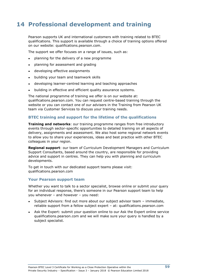## **14 Professional development and training**

Pearson supports UK and international customers with training related to BTEC qualifications. This support is available through a choice of training options offered on our website: qualifications.pearson.com.

The support we offer focuses on a range of issues, such as:

- planning for the delivery of a new programme
- planning for assessment and grading
- developing effective assignments
- building your team and teamwork skills
- developing learner-centred learning and teaching approaches
- building in effective and efficient quality assurance systems.

The national programme of training we offer is on our website at: qualifications.pearson.com. You can request centre-based training through the website or you can contact one of our advisers in the Training from Pearson UK team via Customer Services to discuss your training needs.

#### **BTEC training and support for the lifetime of the qualifications**

**Training and networks**: our training programme ranges from free introductory events through sector-specific opportunities to detailed training on all aspects of delivery, assignments and assessment. We also host some regional network events to allow you to share your experiences, ideas and best practice with other BTEC colleagues in your region.

**Regional support**: our team of Curriculum Development Managers and Curriculum Support Consultants, based around the country, are responsible for providing advice and support in centres. They can help you with planning and curriculum developments.

To get in touch with our dedicated support teams please visit: qualifications.pearson.com

#### **Your Pearson support team**

Whether you want to talk to a sector specialist, browse online or submit your query for an individual response, there's someone in our Pearson support team to help you whenever – and however – you need:

- Subject Advisors: find out more about our subject advisor team immediate, reliable support from a fellow subject expert – at: qualifications.pearson.com
- Ask the Expert: submit your question online to our Ask the Expert online service qualifications.pearson.com and we will make sure your query is handled by a subject specialist.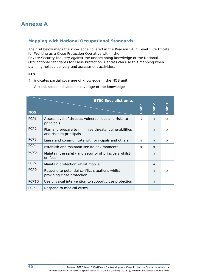## **Mapping with National Occupational Standards**

The grid below maps the knowledge covered in the Pearson BTEC Level 3 Certificate for Working as a Close Protection Operative within the Private Security Industry against the underpinning knowledge of the National Occupational Standards for Close Protection. Centres can use this mapping when planning holistic delivery and assessment activities.

#### **KEY**

# indicates partial coverage of knowledge in the NOS unit

A blank space indicates no coverage of the knowledge

|                  | <b>BTEC Specialist units</b>                                                     | Unit | $\mathbf{\Omega}$<br>jnit | m<br>İ |
|------------------|----------------------------------------------------------------------------------|------|---------------------------|--------|
| <b>NOS</b>       |                                                                                  |      |                           |        |
| PCP1             | Assess level of threats, vulnerabilities and risks to<br>principals              | #    | #                         | #      |
| PCP <sub>2</sub> | Plan and prepare to minimise threats, vulnerabilities<br>and risks to principals |      | #                         | #      |
| PCP <sub>3</sub> | Liaise and communicate with principals and others                                | #    | #                         | #      |
| PCP4             | Establish and maintain secure environments                                       | #    | #                         |        |
| PCP <sub>6</sub> | Maintain the safety and security of principals whilst<br>on foot                 |      | #                         |        |
| PCP7             | Maintain protection whilst mobile                                                |      | #                         |        |
| PCP <sub>9</sub> | Respond to potential conflict situations whilst<br>providing close protection    |      | #                         | #      |
| PCP10            | Use physical intervention to support close protection                            |      | #                         |        |
| <b>PCP 11</b>    | Respond to medical crises                                                        |      |                           |        |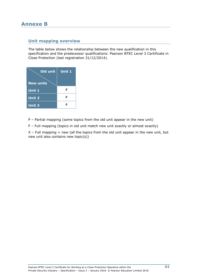## **Annexe B**

## **Unit mapping overview**

The table below shows the relationship between the new qualification in this specification and the predecessor qualifications: Pearson BTEC Level 3 Certificate in Close Protection (last registration 31/12/2014).

| Old unit<br><b>New units</b> | Unit 1 |
|------------------------------|--------|
| Unit 1                       | #      |
| <b>Unit 2</b>                | #      |
| Unit 3                       |        |

P – Partial mapping (some topics from the old unit appear in the new unit)

F – Full mapping (topics in old unit match new unit exactly or almost exactly)

 $X$  – Full mapping + new (all the topics from the old unit appear in the new unit, but new unit also contains new topic(s))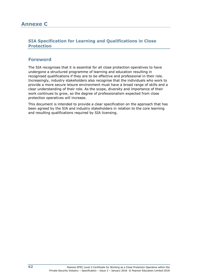## **SIA Specification for Learning and Qualifications in Close Protection**

## **Foreword**

The SIA recognises that it is essential for all close protection operatives to have undergone a structured programme of learning and education resulting in recognised qualifications if they are to be effective and professional in their role. Increasingly, industry stakeholders also recognise that the individuals who work to provide a more secure leisure environment must have a broad range of skills and a clear understanding of their role. As the scope, diversity and importance of their work continues to grow, so the degree of professionalism expected from close protection operatives will increase.

This document is intended to provide a clear specification on the approach that has been agreed by the SIA and industry stakeholders in relation to the core learning and resulting qualifications required by SIA licensing.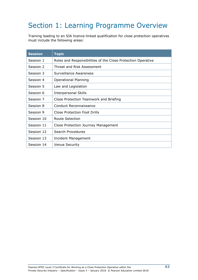# Section 1: Learning Programme Overview

Training leading to an SIA licence-linked qualification for close protection operatives must include the following areas:

| <b>Session</b> | <b>Topic</b>                                                 |
|----------------|--------------------------------------------------------------|
| Session 1      | Roles and Responsibilities of the Close Protection Operative |
| Session 2      | Threat and Risk Assessment                                   |
| Session 3      | Surveillance Awareness                                       |
| Session 4      | <b>Operational Planning</b>                                  |
| Session 5      | Law and Legislation                                          |
| Session 6      | <b>Interpersonal Skills</b>                                  |
| Session 7      | Close Protection Teamwork and Briefing                       |
| Session 8      | Conduct Reconnaissance                                       |
| Session 9      | Close Protection Foot Drills                                 |
| Session 10     | Route Selection                                              |
| Session 11     | Close Protection Journey Management                          |
| Session 12     | Search Procedures                                            |
| Session 13     | Incident Management                                          |
| Session 14     | <b>Venue Security</b>                                        |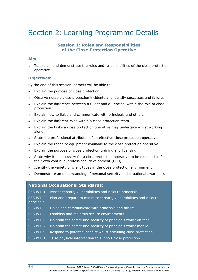# Section 2: Learning Programme Details

### **Session 1: Roles and Responsibilities of the Close Protection Operative**

#### **Aim:**

● To explain and demonstrate the roles and responsibilities of the close protection operative

#### **Objectives:**

By the end of this session learners will be able to:

- Explain the purpose of close protection
- Observe notable close protection incidents and identify successes and failures
- Explain the difference between a Client and a Principal within the role of close protection
- Explain how to liaise and communicate with principals and others
- Explain the different roles within a close protection team
- Explain the tasks a close protection operative may undertake whilst working alone
- State the professional attributes of an effective close protection operative
- Explain the range of equipment available to the close protection operative
- Explain the purpose of close protection training and licensing
- State why it is necessary for a close protection operative to be responsible for their own continual professional development (CPD)
- Identify the variety of client types in the close protection environment
- Demonstrate an understanding of personal security and situational awareness

#### **National Occupational Standards:**

SFS PCP 1 – Assess threats, vulnerabilities and risks to principals

SFS PCP 2 – Plan and prepare to minimise threats, vulnerabilities and risks to principals

SFS PCP 3 – Liaise and communicate with principals and others

- SFS PCP 4 Establish and maintain secure environments
- SFS PCP 6 Maintain the safety and security of principals whilst on foot
- SFS PCP 7 Maintain the safety and security of principals whilst mobile
- SFS PCP 9 Respond to potential conflict whilst providing close protection

#### SFS PCP 10 – Use physical intervention to support close protection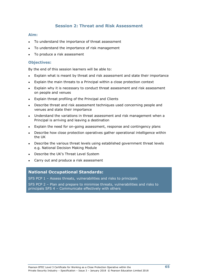## **Session 2: Threat and Risk Assessment**

#### **Aim:**

- To understand the importance of threat assessment
- To understand the importance of risk management
- To produce a risk assessment

#### **Objectives:**

By the end of this session learners will be able to:

- Explain what is meant by threat and risk assessment and state their importance
- Explain the main threats to a Principal within a close protection context
- Explain why it is necessary to conduct threat assessment and risk assessment on people and venues
- Explain threat profiling of the Principal and Clients
- Describe threat and risk assessment techniques used concerning people and venues and state their importance
- Understand the variations in threat assessment and risk management when a Principal is arriving and leaving a destination
- Explain the need for on-going assessment, response and contingency plans
- Describe how close protection operatives gather operational intelligence within the UK
- Describe the various threat levels using established government threat levels e.g. National Decision Making Module
- Describe the UK's Threat Level System
- Carry out and produce a risk assessment

#### **National Occupational Standards:**

SFS PCP 1 – Assess threats, vulnerabilities and risks to principals

SFS PCP 2 – Plan and prepare to minimise threats, vulnerabilities and risks to principals SFS 4 – Communicate effectively with others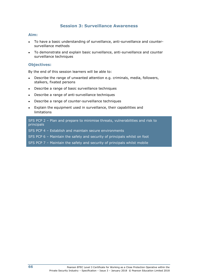## **Session 3: Surveillance Awareness**

#### **Aim:**

- To have a basic understanding of surveillance, anti-surveillance and countersurveillance methods
- To demonstrate and explain basic surveillance, anti-surveillance and counter surveillance techniques

#### **Objectives:**

By the end of this session learners will be able to:

- Describe the range of unwanted attention e.g. criminals, media, followers, stalkers, fixated persons
- Describe a range of basic surveillance techniques
- Describe a range of anti-surveillance techniques
- Describe a range of counter-surveillance techniques
- Explain the equipment used in surveillance, their capabilities and  $limitations$

SFS PCP 2 – Plan and prepare to minimise threats, vulnerabilities and risk to principals

SFS PCP 4 – Establish and maintain secure environments

SFS PCP 6 – Maintain the safety and security of principals whilst on foot

SFS PCP 7 – Maintain the safety and security of principals whilst mobile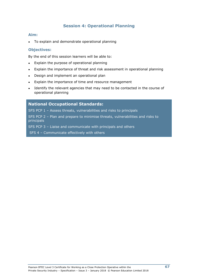## **Session 4: Operational Planning**

#### **Aim:**

To explain and demonstrate operational planning

#### **Objectives:**

By the end of this session learners will be able to:

- Explain the purpose of operational planning
- Explain the importance of threat and risk assessment in operational planning
- Design and implement an operational plan
- Explain the importance of time and resource management
- Identify the relevant agencies that may need to be contacted in the course of operational planning

#### **National Occupational Standards:**

SFS PCP 1 – Assess threats, vulnerabilities and risks to principals

SFS PCP 2 – Plan and prepare to minimise threats, vulnerabilities and risks to principals

SFS PCP 3 – Liaise and communicate with principals and others

SFS 4 – Communicate effectively with others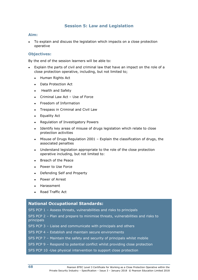### **Session 5: Law and Legislation**

#### **Aim:**

To explain and discuss the legislation which impacts on a close protection operative

#### **Objectives:**

By the end of the session learners will be able to:

- Explain the parts of civil and criminal law that have an impact on the role of a close protection operative, including, but not limited to;
	- Human Rights Act
	- Data Protection Act
	- Health and Safety
	- Criminal Law Act Use of Force
	- Freedom of Information
	- Trespass in Criminal and Civil Law
	- Equality Act
	- Regulation of Investigatory Powers
	- Identify key areas of misuse of drugs legislation which relate to close protection activities
	- Misuse of Drugs Regulation 2001 Explain the classification of drugs, the associated penalties
	- Understand legislation appropriate to the role of the close protection operative including, but not limited to:
	- Breach of the Peace
	- Power to Use Force
	- Defending Self and Property
	- Power of Arrest
	- Harassment
	- Road Traffic Act

### **National Occupational Standards:**

SFS PCP 1 – Assess threats, vulnerabilities and risks to principals

SFS PCP 2 – Plan and prepare to minimise threats, vulnerabilities and risks to principals

- SFS PCP 3 Liaise and communicate with principals and others
- SFS PCP 4 Establish and maintain secure environments
- SFS PCP 7 Maintain the safety and security of principals whilst mobile
- SFS PCP 9 Respond to potential conflict whilst providing close protection
- SFS PCP 10 -Use physical intervention to support close protection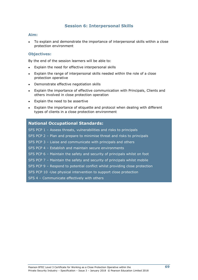### **Session 6: Interpersonal Skills**

#### **Aim:**

To explain and demonstrate the importance of interpersonal skills within a close protection environment

#### **Objectives:**

By the end of the session learners will be able to:

- Explain the need for effective interpersonal skills
- Explain the range of interpersonal skills needed within the role of a close protection operative
- Demonstrate effective negotiation skills
- Explain the importance of effective communication with Principals, Clients and others involved in close protection operation
- Explain the need to be assertive
- Explain the importance of etiquette and protocol when dealing with different types of clients in a close protection environment

### **National Occupational Standards:**

SFS PCP 1 – Assess threats, vulnerabilities and risks to principals SFS PCP 2 – Plan and prepare to minimise threat and risks to principals SFS PCP 3 – Liaise and communicate with principals and others SFS PCP 4 – Establish and maintain secure environments SFS PCP 6 – Maintain the safety and security of principals whilst on foot SFS PCP 7 – Maintain the safety and security of principals whilst mobile SFS PCP 9 – Respond to potential conflict whilst providing close protection SFS PCP 10 -Use physical intervention to support close protection SFS 4 - Communicate effectively with others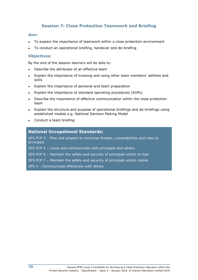## **Session 7: Close Protection Teamwork and Briefing**

#### **Aim:**

- To explain the importance of teamwork within a close protection environment
- To conduct an operational briefing, handover and de-briefing

#### **Objectives:**

By the end of the session learners will be able to:

- Describe the attributes of an effective team
- Explain the importance of knowing and using other team members' abilities and skills
- Explain the importance of personal and team preparation
- Explain the importance of standard operating procedures (SOPs)
- Describe the importance of effective communication within the close protection team
- Explain the structure and purpose of operational briefings and de-briefings using established models e.g. National Decision Making Model
- Conduct a team briefing

### **National Occupational Standards:**

SFS PCP 2 – Plan and prepare to minimise threats, vulnerabilities and risks to principals

SFS PCP 3 – Liaise and communicate with principals and others

SFS PCP 6 – Maintain the safety and security of principals whilst on foot

SFS PCP 7 – Maintain the safety and security of principals whilst mobile

SFS 4 – Communicate effectively with others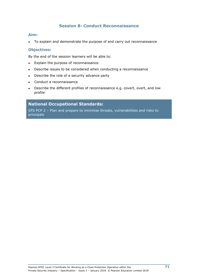## **Session 8: Conduct Reconnaissance**

#### **Aim:**

• To explain and demonstrate the purpose of and carry out reconnaissance

#### **Objectives:**

By the end of the session learners will be able to:

- Explain the purpose of reconnaissance
- Describe issues to be considered when conducting a reconnaissance
- Describe the role of a security advance party
- Conduct a reconnaissance
- Describe the different profiles of reconnaissance e.g. covert, overt, and low profile

### **National Occupational Standards:**

SFS PCP 2 – Plan and prepare to minimise threats, vulnerabilities and risks to principals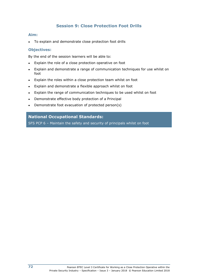## **Session 9: Close Protection Foot Drills**

#### **Aim:**

• To explain and demonstrate close protection foot drills

#### **Objectives:**

By the end of the session learners will be able to:

- Explain the role of a close protection operative on foot
- Explain and demonstrate a range of communication techniques for use whilst on foot
- Explain the roles within a close protection team whilst on foot
- Explain and demonstrate a flexible approach whilst on foot
- Explain the range of communication techniques to be used whilst on foot
- Demonstrate effective body protection of a Principal
- Demonstrate foot evacuation of protected person(s)

### **National Occupational Standards:**

SFS PCP 6 – Maintain the safety and security of principals whilst on foot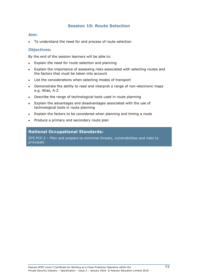## **Session 10: Route Selection**

#### **Aim:**

To understand the need for and process of route selection

#### **Objectives:**

By the end of the session learners will be able to:

- Explain the need for route selection and planning
- Explain the importance of assessing risks associated with selecting routes and the factors that must be taken into account
- List the considerations when selecting modes of transport
- Demonstrate the ability to read and interpret a range of non-electronic maps e.g. Atlas, A-Z
- Describe the range of technological tools used in route planning
- Explain the advantages and disadvantages associated with the use of technological tools in route planning
- Explain the factors to be considered when planning and timing a route
- Produce a primary and secondary route plan

### **National Occupational Standards:**

SFS PCP 2 – Plan and prepare to minimise threats, vulnerabilities and risks to principals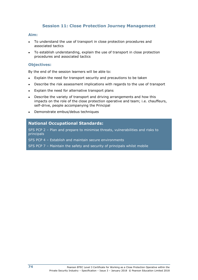## **Session 11: Close Protection Journey Management**

#### **Aim:**

- To understand the use of transport in close protection procedures and associated tactics
- To establish understanding, explain the use of transport in close protection procedures and associated tactics

#### **Objectives:**

By the end of the session learners will be able to:

- Explain the need for transport security and precautions to be taken
- Describe the risk assessment implications with regards to the use of transport
- Explain the need for alternative transport plans
- Describe the variety of transport and driving arrangements and how this impacts on the role of the close protection operative and team; i.e. chauffeurs, self-drive, people accompanying the Principal
- Demonstrate embus/debus techniques

## **National Occupational Standards:**

SFS PCP 2 – Plan and prepare to minimise threats, vulnerabilities and risks to principals

SFS PCP 4 – Establish and maintain secure environments

SFS PCP 7 – Maintain the safety and security of principals whilst mobile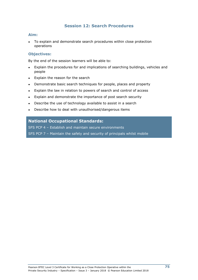## **Session 12: Search Procedures**

#### **Aim:**

To explain and demonstrate search procedures within close protection operations

#### **Objectives:**

By the end of the session learners will be able to:

- Explain the procedures for and implications of searching buildings, vehicles and people
- Explain the reason for the search
- Demonstrate basic search techniques for people, places and property
- Explain the law in relation to powers of search and control of access
- Explain and demonstrate the importance of post search security
- Describe the use of technology available to assist in a search
- Describe how to deal with unauthorised/dangerous items

#### **National Occupational Standards:**

SFS PCP 4 – Establish and maintain secure environments

SFS PCP 7 – Maintain the safety and security of principals whilst mobile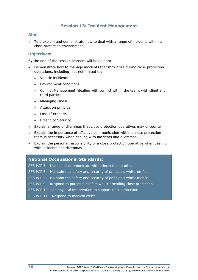## **Session 13: Incident Management**

#### **Aim:**

To d explain and demonstrate how to deal with a range of incidents within a close protection environment

#### **Objectives:**

By the end of the session learners will be able to:

- Demonstrate how to manage incidents that may arise during close protection operations, including, but not limited to;
	- Vehicle incidents
	- Environment conditions
	- Conflict Management (dealing with conflict within the team, with client and third parties
	- Managing illness
	- Attack on principal
	- Loss of Property
	- Breach of Security.
- Explain a range of dilemmas that close protection operatives may encounter
- Explain the importance of effective communication within a close protection team is necessary when dealing with incidents and dilemmas
- Explain the personal responsibility of a close protection operative when dealing with incidents and dilemmas

#### **National Occupational Standards:**

SFS PCP 3 – Liaise and communicate with principals and others

- SFS PCP 6 Maintain the safety and security of principals whilst on foot
- SFS PCP 7 Maintain the safety and security of principals whilst mobile
- SFS PCP 9 Respond to potential conflict whilst providing close protection
- SFS PCP 10 -Use physical intervention to support close protection
- SFS PCP 11 Respond to medical crises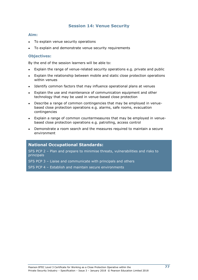## **Session 14: Venue Security**

#### **Aim:**

- To explain venue security operations
- To explain and demonstrate venue security requirements

#### **Objectives:**

By the end of the session learners will be able to:

- Explain the range of venue-related security operations e.g. private and public
- Explain the relationship between mobile and static close protection operations within venues
- Identify common factors that may influence operational plans at venues
- Explain the use and maintenance of communication equipment and other technology that may be used in venue-based close protection
- Describe a range of common contingencies that may be employed in venuebased close protection operations e.g. alarms, safe rooms, evacuation contingencies
- Explain a range of common countermeasures that may be employed in venuebased close protection operations e.g. patrolling, access control
- Demonstrate a room search and the measures required to maintain a secure environment

### **National Occupational Standards:**

SFS PCP 2 – Plan and prepare to minimise threats, vulnerabilities and risks to principals

SFS PCP 3 – Liaise and communicate with principals and others

SFS PCP 4 – Establish and maintain secure environments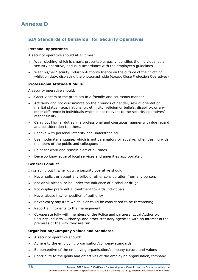## **SIA Standards of Behaviour for Security Operatives**

#### **Personal Appearance**

A security operative should at all times:

- Wear clothing which is smart, presentable, easily identifies the individual as a security operative, and is in accordance with the employer's guidelines
- Wear his/her Security Industry Authority licence on the outside of their clothing whilst on duty, displaying the photograph side (except Close Protection Operatives)

#### **Professional Attitude & Skills**

A security operative should:

- Greet visitors to the premises in a friendly and courteous manner
- Act fairly and not discriminate on the grounds of gender, sexual orientation, marital status, race, nationality, ethnicity, religion or beliefs, disability, or any other difference in individuals which is not relevant to the security operatives' responsibility.
- Carry out his/her duties in a professional and courteous manner with due regard and consideration to others.
- Behave with personal integrity and understanding
- Use moderate language, which is not defamatory or abusive, when dealing with members of the public and colleagues
- Be fit for work and remain alert at all times
- Develop knowledge of local services and amenities appropriately

#### **General Conduct**

In carrying out his/her duty, a security operative should:

- Never solicit or accept any bribe or other consideration from any person.
- Not drink alcohol or be under the influence of alcohol or drugs
- Not display preferential treatment towards individuals
- Never abuse his/her position of authority
- Never carry any item which is or could be considered to be threatening
- Report all incidents to the management
- Co-operate fully with members of the Police and partners, Local Authority, Security Industry Authority, and other statutory agencies with an interest in the premises or the way they are run.

#### **Organisation/Company Values and Standards**

- A security operative should:
- Adhere to the employing organisation/company standards
- Be perceptive of the employing organisation/company culture and values
- Contribute to the goals and objectives of the employing organisation/company.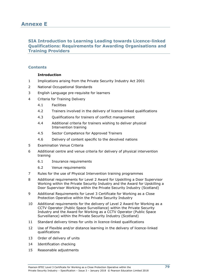## **SIA Introduction to Learning Leading towards Licence-linked Qualifications: Requirements for Awarding Organisations and Training Providers**

### **Contents**

#### **Introduction**

- 1 Implications arising from the Private Security Industry Act 2001
- 2 National Occupational Standards
- 3 English Language pre-requisite for learners
- 4 Criteria for Training Delivery
	- 4.1 Facilities
	- 4.2 Trainers involved in the delivery of licence-linked qualifications
	- 4.3 Qualifications for trainers of conflict management
	- 4.4 Additional criteria for trainers wishing to deliver physical Intervention training
	- 4.5 Sector Competence for Approved Trainers
	- 4.6 Delivery of content specific to the devolved nations
- 5 Examination Venue Criteria
- 6 Additional centre and venue criteria for delivery of physical intervention training
	- 6.1 Insurance requirements
	- 6.2 Venue requirements
- 7 Rules for the use of Physical Intervention training programmes
- 8 Additional requirements for Level 2 Award for Upskilling a Door Supervisor Working within the Private Security Industry and the Award for Upskilling a Door Supervisor Working within the Private Security Industry (Scotland)
- 9 Additional Requirements for Level 3 Certificate for Working as a Close Protection Operative within the Private Security Industry
- 10 Additional requirements for the delivery of Level 2 Award for Working as a CCTV Operator (Public Space Surveillance) within the Private Security Industry and the Award for Working as a CCTV Operator (Public Space Surveillance) within the Private Security Industry (Scotland)
- 11 Standard delivery times for units in licence-linked qualifications
- 12 Use of Flexible and/or distance learning in the delivery of licence-linked qualifications
- 13 Order of delivery of units
- 14 Identification checking
- 15 Reasonable adjustments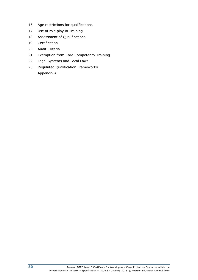- Age restrictions for qualifications
- Use of role play in Training
- Assessment of Qualifications
- Certification
- Audit Criteria
- Exemption from Core Competency Training
- Legal Systems and Local Laws
- Regulated Qualification Frameworks Appendix A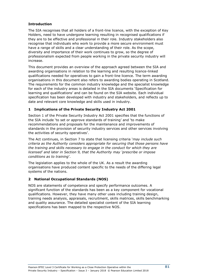#### **Introduction**

The SIA recognises that all holders of a front-line licence, with the exception of Key Holders, need to have undergone learning resulting in recognised qualifications if they are to be effective and professional in their role. Industry stakeholders also recognise that individuals who work to provide a more secure environment must have a range of skills and a clear understanding of their role. As the scope, diversity and importance of their work continues to grow, so the degree of professionalism expected from people working in the private security industry will increase.

This document provides an overview of the approach agreed between the SIA and awarding organisations in relation to the learning and resulting licence-linked qualifications needed for operatives to gain a front-line licence. The term awarding organisations in this document also refers to awarding bodies operating in Scotland. The requirements for the common industry knowledge and the specialist knowledge for each of the industry areas is detailed in the SIA documents 'Specification for learning and qualifications' and can be found on the SIA website. Each individual specification has been developed with industry and stakeholders, and reflects up to date and relevant core knowledge and skills used in industry.

### **1 Implications of the Private Security Industry Act 2001**

Section 1 of the Private Security Industry Act 2001 specifies that the functions of the SIA include 'to set or approve standards of training' and 'to make recommendations and proposals for the maintenance and improvements of standards in the provision of security industry services and other services involving the activities of security operatives'.

The Act continues, in Section 7 to state that licensing criteria '*may include such criteria as the Authority considers appropriate for securing that those persons have the training and skills necessary to engage in the conduct for which they are licensed' and later in Section 9, that the Authority may 'prescribe or impose conditions as to training*'.

The legislation applies to the whole of the UK. As a result the awarding organisations have produced content specific to the needs of the differing legal systems of the nations.

#### **2 National Occupational Standards (NOS)**

NOS are statements of competence and specify performance outcomes. A significant function of the standards has been as a key component for vocational qualifications. However, they have many other uses including training design, training needs analysis, appraisals, recruitment, skills matrices, skills benchmarking and quality assurance. The detailed specialist content of the SIA learning specifications has been mapped to the respective NOS.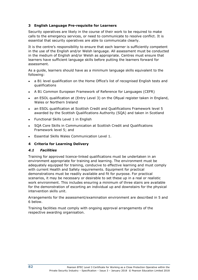#### **3 English Language Pre-requisite for Learners**

Security operatives are likely in the course of their work to be required to make calls to the emergency services, or need to communicate to resolve conflict. It is essential that security operatives are able to communicate clearly.

It is the centre's responsibility to ensure that each learner is sufficiently competent in the use of the English and/or Welsh language. All assessment must be conducted in the medium of English and/or Welsh as appropriate. Centres must ensure that learners have sufficient language skills before putting the learners forward for assessment.

As a guide, learners should have as a minimum language skills equivalent to the following:

- a B1 level qualification on the Home Office's list of recognised English tests and qualifications
- A B1 Common European Framework of Reference for Languages (CEFR)
- an ESOL qualification at (Entry Level 3) on the Ofqual register taken in England, Wales or Northern Ireland
- an ESOL qualification at Scottish Credit and Qualifications Framework level 5 awarded by the Scottish Qualifications Authority (SQA) and taken in Scotland
- **Functional Skills Level 1 in English**
- SQA Core Skills in Communication at Scottish Credit and Qualifications Framework level 5; and
- Essential Skills Wales Communication Level 1.

#### **4 Criteria for Learning Delivery**

#### *4.1 Facilities*

Training for approved licence-linked qualifications must be undertaken in an environment appropriate for training and learning. The environment must be adequately equipped for training, conducive to effective learning and must comply with current Health and Safety requirements. Equipment for practical demonstrations must be readily available and fit for purpose. For practical scenarios, it may be necessary or desirable to set these up in a real or realistic work environment. This includes ensuring a minimum of three stairs are available for the demonstration of escorting an individual up and downstairs for the physical intervention skills unit.

Arrangements for the assessment/examination environment are described in 5 and 6 below.

Training facilities must comply with ongoing approval arrangements of the respective awarding organisation.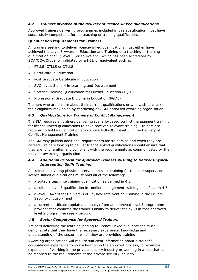### *4.2 Trainers involved in the delivery of licence-linked qualifications*

Approved trainers delivering programmes included in this specification must have successfully completed a formal teaching or training qualification.

#### **Qualification requirements for Trainers**

All trainers seeking to deliver licence-linked qualifications must either have achieved the Level 3 Award in Education and Training or a teaching or training qualification at SVQ level 3 (or equivalent), which has been accredited by SQA/QCA/Ofqual or validated by a HEI, or equivalent such as:

- PTLLS, CTLLS or DTLLS
- Certificate in Education
- Post Graduate Certificate in Education
- SVQ levels 3 and 4 in Learning and Development
- Scottish Training Qualification for Further Education (TQFE)
- Professional Graduate Diploma in Education (PGDE)

Trainers who are unsure about their current qualifications or who wish to check their eligibility may do so by contacting any SIA endorsed awarding organisation.

#### *4.3 Qualifications for Trainers of Conflict Management*

The SIA requires all trainers delivering scenario-based conflict management training for licence-linked qualifications to have received relevant training. Trainers are required to hold a qualification at or above NQF/QCF Level 3 in The Delivery of Conflict Management Training.

The SIA may publish additional requirements for trainers as and when they are agreed. Trainers looking to deliver licence-linked qualifications should ensure that they are fully familiar and compliant with the requirements as communicated by the relevant awarding organisation.

#### *4.4 Additional Criteria for Approved Trainers Wishing to Deliver Physical Intervention Skills Training*

All trainers delivering physical intervention skills training for the door supervisor licence-linked qualifications must hold all of the following:

- a suitable teaching/training qualification as defined in 4.2
- a suitable level 3 qualification in conflict management training as defined in 4.3
- a level 3 Award for Deliverers of Physical Intervention Training in the Private Security Industry; and
- a current certificate (updated annually) from an approved level 3 programme provider that confirms the trainer's ability to deliver the skills in that approved level 2 programme (see 7 below).

#### *4.5 Sector Competence for Approved Trainers*

Trainers delivering the learning leading to licence-linked qualifications must demonstrate that they have the necessary experience, knowledge and understanding of the sector in which they are providing training.

Awarding organisations will require sufficient information about a trainer's occupational experience for consideration in the approval process, for example, experience of working in the private security industry or working in a role that can be mapped to the requirements of the private security industry.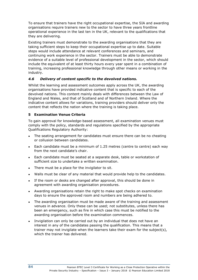To ensure that trainers have the right occupational expertise, the SIA and awarding organisations require trainers new to the sector to have three years frontline operational experience in the last ten in the UK, relevant to the qualifications that they are delivering.

Existing trainers must demonstrate to the awarding organisations that they are taking sufficient steps to keep their occupational expertise up to date. Suitable steps would include attendance at relevant conferences and seminars, and continuing work experience in the sector. Trainers must be able to demonstrate evidence of a suitable level of professional development in the sector, which should include the equivalent of at least thirty hours every year spent in a combination of training, increasing professional knowledge through other means or working in the industry.

### *4.6 Delivery of content specific to the devolved nations.*

Whilst the learning and assessment outcomes apply across the UK, the awarding organisations have provided indicative content that is specific to each of the devolved nations. This content mainly deals with differences between the Law of England and Wales, and that of Scotland and of Northern Ireland. Where the indicative content allows for variations, training providers should deliver only the content that reflects the nation where the training is taking place.

#### **5 Examination Venue Criteria**

To gain approval for knowledge-based assessment, all examination venues must comply with the policy, standards and regulations specified by the appropriate Qualifications Regulatory Authority:

- The seating arrangement for candidates must ensure there can be no cheating or collusion between candidates.
- Each candidate must be a minimum of 1.25 metres (centre to centre) each way from the next candidate's chair.
- Each candidate must be seated at a separate desk, table or workstation of sufficient size to undertake a written examination.
- There must be a place for the invigilator to sit.
- Walls must be clear of any material that would provide help to the candidates.
- If the room or desks are changed after approval, this should be done in agreement with awarding organisation procedures.
- Awarding organisations retain the right to make spot checks on examination days to ensure the approved room and numbers are being adhered to.
- The awarding organisation must be made aware of the training and assessment venues in advance. Only these can be used; not substitutes, unless there has been an emergency, such as fire in which case this must be notified to the awarding organisation before the examination commences.
- Invigilation can only be carried out by an individual that does not have an interest in any of the candidates passing the qualification. This means that a trainer may not invigilate when the learners take their exam for the subject(s), which the trainer has delivered.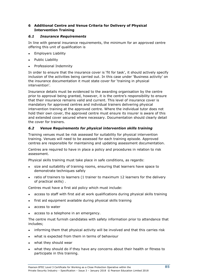## **6 Additional Centre and Venue Criteria for Delivery of Physical Intervention Training**

#### *6.1 Insurance Requirements*

In line with general insurance requirements, the minimum for an approved centre offering this unit of qualification is

- Employers Liability
- **Public Liability**
- Professional Indemnity

In order to ensure that the insurance cover is 'fit for task', it should actively specify inclusion of the activities being carried out. In this case under 'Business activity' on the insurance documentation it must state cover for 'training in physical intervention'.

Insurance details must be evidenced to the awarding organisation by the centre prior to approval being granted, however, it is the centre's responsibility to ensure that their insurance remains valid and current. This level of insurance cover is mandatory for approved centres and individual trainers delivering physical intervention training at the approved centre. Where the individual tutor does not hold their own cover, the approved centre must ensure its insurer is aware of this and extended cover secured where necessary. Documentation should clearly detail the cover for trainers.

#### *6.2 Venue Requirements for physical intervention skills training*

Training venues must be risk assessed for suitability for physical intervention training. Venues will need to be assessed for each training episode. Approved centres are responsible for maintaining and updating assessment documentation.

Centres are required to have in place a policy and procedures in relation to risk assessment.

Physical skills training must take place in safe conditions, as regards:

- size and suitability of training rooms, ensuring that learners have space to demonstrate techniques safely
- ratio of trainers to learners (1 trainer to maximum 12 learners for the delivery of practical skills) .

Centres must have a first aid policy which must include:

- access to staff with first aid at work qualifications during physical skills training
- first aid equipment available during physical skills training
- access to water
- access to a telephone in an emergency.

The centre must furnish candidates with safety information prior to attendance that includes;

- informing them that physical activity will be involved and that this carries risk
- what is expected from them in terms of behaviour
- what they should wear
- what they should do if they have any concerns about their health or fitness to participate in this training.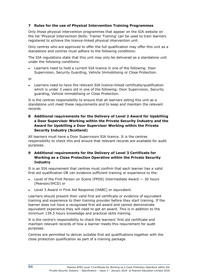#### **7 Rules for the use of Physical Intervention Training Programmes**

Only those physical intervention programmes that appear on the SIA website on the list 'Physical Intervention Skills: Trainer Training' can be used to train learners registered to achieve the licence-linked physical intervention unit.

Only centres who are approved to offer the full qualification may offer this unit as a standalone and centres must adhere to the following conditions:

The SIA regulations state that this unit may only be delivered as a standalone unit under the following conditions:

Learners need to hold a current SIA licence in one of the following: Door Supervision, Security Guarding, Vehicle Immobilising or Close Protection.

or

Learners need to have the relevant SIA licence-linked certificate/qualification which is under 3 years old in one of the following: Door Supervision, Security guarding, Vehicle immobilising or Close Protection.

It is the centres responsibility to ensure that all learners sitting this unit as a standalone unit meet these requirements and to keep and maintain the relevant records.

**8 Additional requirements for the Delivery of Level 2 Award for Upskilling a Door Supervisor Working within the Private Security Industry and the Award for Upskilling a Door Supervisor Working within the Private Security Industry (Scotland)**

All learners must have a Door Supervisors SIA licence. It is the centres responsibility to check this and ensure that relevant records are available for audit purposes.

#### **9 Additional requirements for the Delivery of Level 3 Certificate for Working as a Close Protection Operative within the Private Security Industry**

It is an SIA requirement that centres must confirm that each learner has a valid first aid qualification OR can evidence sufficient training or experience to the:

- Level of the First Person on Scene (FPOS) Intermediate Award  $-$  30 hours (Pearson/IHCD) or
- Level 3 Award in First Aid Response (HABC) or equivalent.

Learners should present their valid first aid certificate or evidence of equivalent training and experience to their training provider before they start training. If the learner does not have a recognised first aid award and cannot demonstrate equivalent experience they will need to get an award. This is in addition to the minimum 139.5 hours knowledge and practical skills training.

It is the centre's responsibility to check the learners' first aid certificate and maintain relevant records of how a learner meets this requirement for audit purposes.

Centres are permitted to deliver suitable first aid qualifications together with the close protection qualification as part of a training package.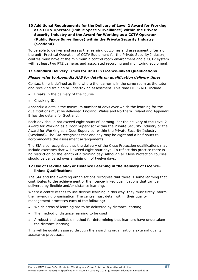#### **10 Additional Requirements for the Delivery of Level 2 Award for Working as a CCTV Operator (Public Space Surveillance) within the Private Security Industry and the Award for Working as a CCTV Operator (Public Space Surveillance) within the Private Security Industry (Scotland)**

To be able to deliver and assess the learning outcomes and assessment criteria of the unit: Practical Operation of CCTV Equipment for the Private Security Industry, centres must have at the minimum a control room environment and a CCTV system with at least two PTZ cameras and associated recording and monitoring equipment.

#### **11 Standard Delivery Times for Units in Licence-linked Qualifications**

#### *Please refer to Appendix A/B for details on qualification delivery times*

Contact time is defined as time where the learner is in the same room as the tutor and receiving training or undertaking assessment. This time DOES NOT include:

- Breaks in the delivery of the course
- Checking ID.

Appendix A details the minimum number of days over which the learning for the qualifications must be delivered England, Wales and Northern Ireland and Appendix B has the details for Scotland.

Each day should not exceed eight hours of learning. For the delivery of the Level 2 Award for Working as a Door Supervisor within the Private Security Industry or the Award for Working as a Door Supervisor within the Private Security Industry (Scotland). The SIA recognises that one day may be eight and a half hours to accommodate the assessment arrangements.

The SIA also recognises that the delivery of the Close Protection qualifications may include exercises that will exceed eight hour days. To reflect this practice there is no restriction on the length of a training day, although all Close Protection courses should be delivered over a minimum of twelve days.

#### **12 Use of Flexible and/or Distance Learning in the Delivery of Licencelinked Qualifications**

The SIA and the awarding organisations recognise that there is some learning that contributes to the achievement of the licence-linked qualifications that can be delivered by flexible and/or distance learning.

Where a centre wishes to use flexible learning in this way, they must firstly inform their awarding organisation. The centre must detail within their quality management processes each of the following:

- Which areas of learning are to be delivered by distance learning
- The method of distance learning to be used
- A robust and auditable method for determining that learners have undertaken the distance learning.

This will be quality assured through the awarding organisations external quality assurance processes.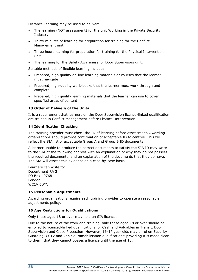Distance Learning may be used to deliver:

- The learning (NOT assessment) for the unit Working in the Private Security Industry
- Thirty minutes of learning for preparation for training for the Conflict Management unit
- Three hours learning for preparation for training for the Physical Intervention unit
- The learning for the Safety Awareness for Door Supervisors unit.

Suitable methods of flexible learning include:

- Prepared, high quality on-line learning materials or courses that the learner must navigate
- Prepared, high-quality work-books that the learner must work through and complete
- Prepared, high quality learning materials that the learner can use to cover specified areas of content.

#### **13 Order of Delivery of the Units**

It is a requirement that learners on the Door Supervision licence-linked qualification are trained in Conflict Management before Physical Intervention.

#### **14 Identification Checking**

The training provider must check the ID of learning before assessment. Awarding organisations should provide confirmation of acceptable ID to centres. This will reflect the SIA list of acceptable Group A and Group B ID documents.

A learner unable to produce the correct documents to satisfy the SIA ID may write to the SIA at the following address with an explanation of why they do not possess the required documents, and an explanation of the documents that they do have. The SIA will assess this evidence on a case-by-case basis.

Learners can write to: Department RA 2 PO Box 49768 London WC1V 6WY.

#### **15 Reasonable Adjustments**

Awarding organisations require each training provider to operate a reasonable adjustments policy.

### **16 Age Restrictions for Qualifications**

Only those aged 18 or over may hold an SIA licence.

Due to the nature of the work and training, only those aged 18 or over should be enrolled to licenced-linked qualifications for Cash and Valuables in Transit, Door Supervision and Close Protection. However, 16-17 year olds may enrol on Security Guarding, CCTV and Vehicle Immobilisation qualifications' providing it is made clear to them, that they cannot posses a licence until the age of 18.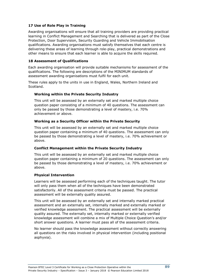#### **17 Use of Role Play in Training**

Awarding organisations will ensure that all training providers are providing practical learning in Conflict Management and Searching that is delivered as part of the Close Protection, Door Supervision, Security Guarding and Vehicle Immobilisation qualifications. Awarding organisations must satisfy themselves that each centre is delivering these areas of learning through role-play, practical demonstrations and other means to ensure that each learner is able to acquire the skills required.

#### **18 Assessment of Qualifications**

Each awarding organisation will provide suitable mechanisms for assessment of the qualifications. The following are descriptions of the MINIMUM standards of assessment awarding organisations must fulfil for each unit.

These rules apply to the units in use in England, Wales, Northern Ireland and Scotland.

#### **Working within the Private Security Industry**

This unit will be assessed by an externally set and marked multiple choice question paper consisting of a minimum of 40 questions. The assessment can only be passed by those demonstrating a level of mastery, i.e. 70% achievement or above.

#### **Working as a Security Officer within the Private Security**

This unit will be assessed by an externally set and marked multiple choice question paper containing a minimum of 40 questions. The assessment can only be passed by those demonstrating a level of mastery, i.e. 70% achievement or above.

#### **Conflict Management within the Private Security Industry**

This unit will be assessed by an externally set and marked multiple choice question paper containing a minimum of 20 questions. The assessment can only be passed by those demonstrating a level of mastery, i.e. 70% achievement or above.

#### **Physical Intervention**

Learners will be assessed performing each of the techniques taught. The tutor will only pass them when all of the techniques have been demonstrated satisfactorily. All of the assessment criteria must be passed. The practical assessment will be externally quality assured.

This unit will be assessed by an externally set and internally marked practical assessment and an externally set, internally marked and externally marked or verified knowledge assessment. The practical assessment will be externally quality assured. The externally set, internally marked or externally verified knowledge assessment will combine a mix of Multiple Choice Question's and/or short answer questions. A learner must pass all of the assessment criteria.

No learner should pass the knowledge assessment without correctly answering all questions on the risks involved in physical intervention (including positional asphyxia).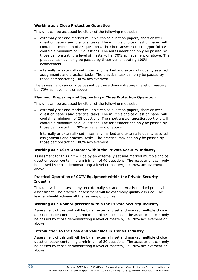#### **Working as a Close Protection Operative**

This unit can be assessed by either of the following methods:

- externally set and marked multiple choice question papers, short answer question papers and practical tasks. The multiple choice question paper will contain at minimum of 25 questions. The short answer question/portfolio will contain a minimum of 13 questions. The assessment can only be passed by those demonstrating a level of mastery, i.e. 70% achievement or above. The practical task can only be passed by those demonstrating 100% achievement
- internally or externally set, internally marked and externally quality assured assignments and practical tasks. The practical task can only be passed by those demonstrating 100% achievement

The assessment can only be passed by those demonstrating a level of mastery, i.e. 70% achievement or above

#### **Planning, Preparing and Supporting a Close Protection Operation**

This unit can be assessed by either of the following methods:

- externally set and marked multiple choice question papers, short answer question papers and practical tasks. The multiple choice question paper will contain a minimum of 28 questions. The short answer question/portfolio will contain a minimum of 21 questions. The assessment can only be passed by those demonstrating 70% achievement of above.
- internally or externally set, internally marked and externally quality assured assignments and practical tasks. The practical task can only be passed by those demonstrating 100% achievement

#### **Working as a CCTV Operator within the Private Security Industry**

Assessment for this unit will be by an externally set and marked multiple choice question paper containing a minimum of 40 questions. The assessment can only be passed by those demonstrating a level of mastery, i.e. 70% achievement or above.

#### **Practical Operation of CCTV Equipment within the Private Security Industry**

This unit will be assessed by an externally set and internally marked practical assessment. The practical assessment will be externally quality assured. The learner should achieve all the learning outcomes.

#### **Working as a Door Supervisor within the Private Security Industry**

Assessment of this unit will be by an externally set and marked multiple choice question paper containing a minimum of 45 questions. The assessment can only be passed by those demonstrating a level of mastery, i.e. 70% achievement or above.

#### **Introduction to the Cash and Valuables in Transit Industry**

Assessment of this unit will be by an externally set and marked multiple choice question paper containing a minimum of 30 questions. The assessment can only be passed by those demonstrating a level of mastery, i.e. 70% achievement or above.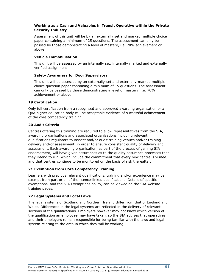#### **Working as a Cash and Valuables in Transit Operative within the Private Security Industry**

Assessment of this unit will be by an externally set and marked multiple choice paper containing a minimum of 25 questions. The assessment can only be passed by those demonstrating a level of mastery, i.e. 70% achievement or above.

#### **Vehicle Immobilisation**

This unit will be assessed by an internally set, internally marked and externally verified assignment

#### **Safety Awareness for Door Supervisors**

This unit will be assessed by an externally-set and externally-marked multiple choice question paper containing a minimum of 15 questions. The assessment can only be passed by those demonstrating a level of mastery, i.e. 70% achievement or above.

#### **19 Certification**

Only full certification from a recognised and approved awarding organisation or a QAA higher education body will be acceptable evidence of successful achievement of the core competency training.

#### **20 Audit Criteria**

Centres offering this training are required to allow representatives from the SIA, awarding organisations and associated organisations including relevant qualifications regulators to inspect and/or audit training venues and/or training delivery and/or assessment, in order to ensure consistent quality of delivery and assessment. Each awarding organisation, as part of the process of gaining SIA endorsement, will have given assurances as to the quality assurance processes that they intend to run, which include the commitment that every new centre is visited, and that centres continue to be monitored on the basis of risk thereafter.

### **21 Exemption from Core Competency Training**

Learners with previous relevant qualifications, training and/or experience may be exempt from part or all of the licence-linked qualifications. Details of specific exemptions, and the SIA Exemptions policy, can be viewed on the SIA website training pages.

### **22 Legal Systems and Local Laws**

The legal systems of Scotland and Northern Ireland differ from that of England and Wales. Differences in the legal systems are reflected in the delivery of relevant sections of the qualifications. Employers however may not know which version of the qualification an employee may have taken, so the SIA advises that operatives and their employers remain responsible for being familiar with the laws and legal system relating to the area in which they will be working.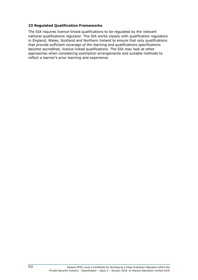#### **23 Regulated Qualification Frameworks**

The SIA requires licence-linked qualifications to be regulated by the relevant national qualifications regulator. The SIA works closely with qualification regulators in England, Wales, Scotland and Northern Ireland to ensure that only qualifications that provide sufficient coverage of the learning and qualifications specifications become accredited, licence-linked qualifications. The SIA may look at other approaches when considering exemption arrangements and suitable methods to reflect a learner's prior learning and experience.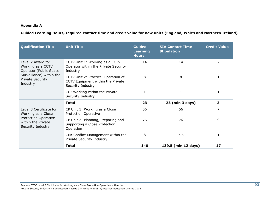#### **Appendix A**

**Guided Learning Hours, required contact time and credit value for new units (England, Wales and Northern Ireland)**

| <b>Qualification Title</b>                                                                                                          | <b>Unit Title</b>                                                                             | <b>Guided</b><br><b>Learning</b><br><b>Hours</b> | <b>SIA Contact Time</b><br><b>Stipulation</b> | <b>Credit Value</b> |
|-------------------------------------------------------------------------------------------------------------------------------------|-----------------------------------------------------------------------------------------------|--------------------------------------------------|-----------------------------------------------|---------------------|
| Level 2 Award for<br>Working as a CCTV<br>Operator (Public Space<br>Surveillance) within the<br><b>Private Security</b><br>Industry | CCTV Unit 1: Working as a CCTV<br>Operator within the Private Security<br>Industry            | 14                                               | 14                                            | $\overline{2}$      |
|                                                                                                                                     | CCTV Unit 2: Practical Operation of<br>CCTV Equipment within the Private<br>Security Industry | 8                                                | 8                                             | $\mathbf{1}$        |
|                                                                                                                                     | CU: Working within the Private<br>Security Industry                                           |                                                  | 1                                             |                     |
|                                                                                                                                     | <b>Total</b>                                                                                  | 23                                               | 23 (min 3 days)                               | 3                   |
| Level 3 Certificate for<br>Working as a Close                                                                                       | CP Unit 1: Working as a Close<br><b>Protection Operative</b>                                  | 56                                               | 56                                            | 7                   |
| <b>Protection Operative</b><br>within the Private<br>Security Industry                                                              | CP Unit 2: Planning, Preparing and<br>Supporting a Close Protection<br>Operation              | 76                                               | 76                                            | 9                   |
|                                                                                                                                     | CM: Conflict Management within the<br>Private Security Industry                               | 8                                                | 7.5                                           |                     |
|                                                                                                                                     | <b>Total</b>                                                                                  | 140                                              | 139.5 (min 12 days)                           | 17                  |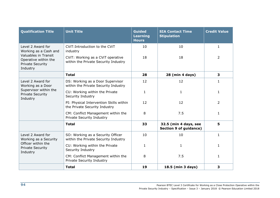| <b>Qualification Title</b>                                                                                                               | <b>Unit Title</b>                                                         | <b>Guided</b><br><b>Learning</b><br><b>Hours</b> | <b>SIA Contact Time</b><br><b>Stipulation</b>          | <b>Credit Value</b> |
|------------------------------------------------------------------------------------------------------------------------------------------|---------------------------------------------------------------------------|--------------------------------------------------|--------------------------------------------------------|---------------------|
| Level 2 Award for<br>Working as a Cash and<br><b>Valuables in Transit</b><br>Operative within the<br><b>Private Security</b><br>Industry | CVIT: Introduction to the CVIT<br>industry                                | 10                                               | 10                                                     | $\mathbf{1}$        |
|                                                                                                                                          | CVIT: Working as a CVIT operative<br>within the Private Security Industry | 18                                               | 18                                                     | 2                   |
|                                                                                                                                          | <b>Total</b>                                                              | 28                                               | 28 (min 4 days)                                        | 3                   |
| Level 2 Award for<br>Working as a Door                                                                                                   | DS: Working as a Door Supervisor<br>within the Private Security Industry  | 12                                               | 12                                                     | 1                   |
| Supervisor within the<br><b>Private Security</b><br>Industry                                                                             | CU: Working within the Private<br>Security Industry                       | 1                                                | 1                                                      | $\mathbf{1}$        |
|                                                                                                                                          | PI: Physical Intervention Skills within<br>the Private Security Industry  | 12                                               | 12                                                     | $\overline{2}$      |
|                                                                                                                                          | CM: Conflict Management within the<br>Private Security Industry           | 8                                                | 7.5                                                    | $\mathbf{1}$        |
|                                                                                                                                          | <b>Total</b>                                                              | 33                                               | 32.5 (min 4 days, see<br><b>Section 9 of guidance)</b> | 5                   |
| Level 2 Award for<br>Working as a Security                                                                                               | SO: Working as a Security Officer<br>within the Private Security Industry | 10                                               | 10                                                     | $\mathbf{1}$        |
| Officer within the<br><b>Private Security</b><br>Industry                                                                                | CU: Working within the Private<br>Security Industry                       | $\mathbf{1}$                                     | 1                                                      | 1                   |
|                                                                                                                                          | CM: Conflict Management within the<br>Private Security Industry           | 8                                                | 7.5                                                    | $\mathbf{1}$        |
|                                                                                                                                          | <b>Total</b>                                                              | 19                                               | 18.5 (min 3 days)                                      | 3                   |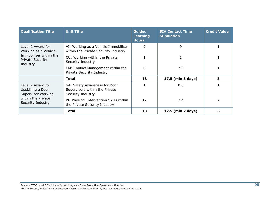| <b>Qualification Title</b>                                                                                 | <b>Unit Title</b>                                                                    | <b>Guided</b><br><b>Learning</b><br><b>Hours</b> | <b>SIA Contact Time</b><br><b>Stipulation</b> | <b>Credit Value</b> |
|------------------------------------------------------------------------------------------------------------|--------------------------------------------------------------------------------------|--------------------------------------------------|-----------------------------------------------|---------------------|
| Level 2 Award for<br>Working as a Vehicle<br>Immobiliser within the<br><b>Private Security</b><br>Industry | VI: Working as a Vehicle Immobiliser<br>within the Private Security Industry         | 9                                                | 9                                             |                     |
|                                                                                                            | CU: Working within the Private<br>Security Industry                                  |                                                  |                                               |                     |
|                                                                                                            | CM: Conflict Management within the<br>Private Security Industry                      | 8                                                | 7.5                                           |                     |
|                                                                                                            | <b>Total</b>                                                                         | 18                                               | 17.5 (min 3 days)                             | 3                   |
| Level 2 Award for<br>Upskilling a Door<br>Supervisor Working                                               | SA: Safety Awareness for Door<br>Supervisors within the Private<br>Security Industry |                                                  | 0.5                                           |                     |
| within the Private<br>Security Industry                                                                    | PI: Physical Intervention Skills within<br>the Private Security Industry             | 12                                               | 12                                            | $\mathcal{P}$       |
|                                                                                                            | Total                                                                                | 13                                               | 12.5 (min 2 days)                             | з                   |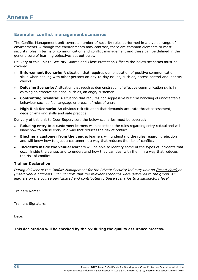## **Exemplar conflict management scenarios**

The Conflict Management unit covers a number of security roles performed in a diverse range of environments. Although the environments may contrast, there are common elements to most security roles in terms of communication and conflict management and these can be defined in the generic core of learning objectives set out below.

Delivery of this unit to Security Guards and Close Protection Officers the below scenarios must be covered:

- **Enforcement Scenario:** A situation that requires demonstration of positive communication skills when dealing with other persons on day-to-day issues, such as, access control and identity checks.
- **Defusing Scenario:** A situation that requires demonstration of effective communication skills in calming an emotive situation, such as, an angry customer.
- **Confronting Scenario:** A situation that requires non-aggressive but firm handling of unacceptable behaviour such as foul language or breach of rules of entry.
- **High Risk Scenario:** An obvious risk situation that demands accurate threat assessment, decision-making skills and safe practice.

Delivery of this unit to Door Supervisors the below scenarios must be covered:

- **Refusing entry to a customer:** learners will understand the rules regarding entry refusal and will know how to refuse entry in a way that reduces the risk of conflict.
- **Ejecting a customer from the venue:** learners will understand the rules regarding ejection and will know how to eject a customer in a way that reduces the risk of conflict.
- **Incidents inside the venue:** learners will be able to identify some of the types of incidents that occur inside the venue, and to understand how they can deal with them in a way that reduces the risk of conflict

#### **Trainer Declaration**

*During delivery of the Conflict Management for the Private Security Industry unit on (insert date) at (insert venue address) I can confirm that the relevant scenarios were delivered to the group. All learners on the course participated and contributed to these scenarios to a satisfactory level.* 

Trainers Name:

Trainers Signature:

Date:

#### **This declaration will be checked by the SV during the quality assurance process.**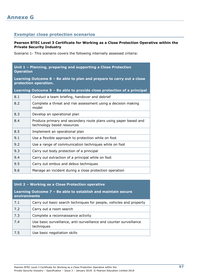## **Exemplar close protection scenarios**

#### **Pearson BTEC Level 3 Certificate for Working as a Close Protection Operative within the Private Security Industry**

Scenario 1- This scenario covers the following internally assessed criteria:

| Unit 1 - Planning, preparing and supporting a Close Protection<br><b>Operation</b>             |                                                                                               |  |
|------------------------------------------------------------------------------------------------|-----------------------------------------------------------------------------------------------|--|
| Learning Outcome 8 - Be able to plan and prepare to carry out a close<br>protection operation. |                                                                                               |  |
| Learning Outcome 9 - Be able to provide close protection of a principal                        |                                                                                               |  |
| 8.1                                                                                            | Conduct a team briefing, handover and debrief                                                 |  |
| 8.2                                                                                            | Complete a threat and risk assessment using a decision making<br>model                        |  |
| 8.3                                                                                            | Develop an operational plan                                                                   |  |
| 8.4                                                                                            | Produce primary and secondary route plans using paper based and<br>technology based resources |  |
| 8.5                                                                                            | Implement an operational plan                                                                 |  |
| 9.1                                                                                            | Use a flexible approach to protection while on foot                                           |  |
| 9.2                                                                                            | Use a range of communication techniques while on foot                                         |  |
| 9.3                                                                                            | Carry out body protection of a principal                                                      |  |
| 9.4                                                                                            | Carry out extraction of a principal while on foot                                             |  |
| 9.5                                                                                            | Carry out embus and debus techniques                                                          |  |
| 9.6                                                                                            | Manage an incident during a close protection operation                                        |  |

## **Unit 2 – Working as a Close Protection operative**

| Learning Outcome 7 – Be able to establish and maintain secure<br>environments |                                                                                  |  |
|-------------------------------------------------------------------------------|----------------------------------------------------------------------------------|--|
| 7.1                                                                           | Carry out basic search techniques for people, vehicles and property              |  |
| 7.2                                                                           | Carry out a room search                                                          |  |
| 7.3                                                                           | Complete a reconnaissance activity                                               |  |
| 7.4                                                                           | Use basic surveillance, anti-surveillance and counter surveillance<br>techniques |  |
| 7.5                                                                           | Use basic negotiation skills                                                     |  |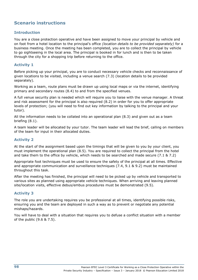# **Scenario instructions**

### **Introduction**

You are a close protection operative and have been assigned to move your principal by vehicle and on foot from a hotel location to the principal's office *(location details to be provided separately)* for a business meeting. Once the meeting has been completed, you are to collect the principal by vehicle to go sightseeing in the local area. The principal is booked in for lunch and is then to be taken through the city for a shopping trip before returning to the office.

### **Activity 1**

Before picking up your principal, you are to conduct necessary vehicle checks and reconnaissance of given locations to be visited, including a venue search (7.3) (location details to be provided separately).

Working as a team, route plans must be drawn up using local maps or via the internet, identifying primary and secondary routes (8.4) to and from the specified venues.

A full venue security plan is needed which will require you to liaise with the venue manager. A threat and risk assessment for the principal is also required (8.2) in order for you to offer appropriate levels of protection; (you will need to find out key information by talking to the principal and your tutor).

All the information needs to be collated into an operational plan (8.3) and given out as a team briefing (8.1).

A team leader will be allocated by your tutor. The team leader will lead the brief, calling on members of the team for input in their allocated duties.

### **Activity 2**

At the start of the assignment based upon the timings that will be given to you by your client, you must implement the operational plan (8.5). You are required to collect the principal from the hotel and take them to the office by vehicle, which needs to be searched and made secure (7.1 & 7.2)

Appropriate foot techniques must be used to ensure the safety of the principal at all times. Effective and appropriate communication and surveillance techniques (7.4, 9.1 & 9.2) must be maintained throughout this task.

After the meeting has finished, the principal will need to be picked up by vehicle and transported to various sites as planned using appropriate vehicle techniques. When arriving and leaving planned site/location visits, effective debus/embus procedures must be demonstrated (9.5).

### **Activity 3**

The role you are undertaking requires you be professional at all times, identifying possible risks, ensuring you and the team are deployed in such a way as to prevent or negotiate any potential mishaps/hazards.

You will have to deal with a situation that requires you to defuse a conflict situation with a member of the public (9.6 & 7.5).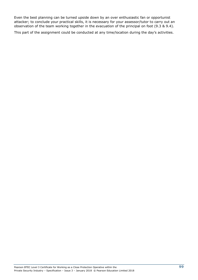Even the best planning can be turned upside down by an over enthusiastic fan or opportunist attacker; to conclude your practical skills, it is necessary for your assessor/tutor to carry out an observation of the team working together in the evacuation of the principal on foot (9.3 & 9.4).

This part of the assignment could be conducted at any time/location during the day's activities.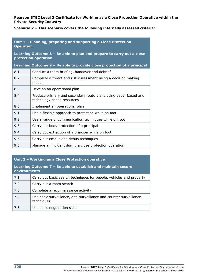#### **Pearson BTEC Level 3 Certificate for Working as a Close Protection Operative within the Private Security Industry**

**Scenario 2 – This scenario covers the following internally assessed criteria:**

**Unit 1 – Planning, preparing and supporting a Close Protection Operation**

**Learning Outcome 8 – Be able to plan and prepare to carry out a close protection operation.**

**Learning Outcome 9 – Be able to provide close protection of a principal**

| 8.1 | Conduct a team briefing, handover and debrief                                                 |
|-----|-----------------------------------------------------------------------------------------------|
| 8.2 | Complete a threat and risk assessment using a decision making<br>model                        |
| 8.3 | Develop an operational plan                                                                   |
| 8.4 | Produce primary and secondary route plans using paper based and<br>technology based resources |
| 8.5 | Implement an operational plan                                                                 |
| 9.1 | Use a flexible approach to protection while on foot                                           |
| 9.2 | Use a range of communication techniques while on foot                                         |
| 9.3 | Carry out body protection of a principal                                                      |
| 9.4 | Carry out extraction of a principal while on foot                                             |
| 9.5 | Carry out embus and debus techniques                                                          |
| 9.6 | Manage an incident during a close protection operation                                        |

#### **Unit 2 – Working as a Close Protection operative**

**Learning Outcome 7 – Be able to establish and maintain secure environments**

| 7.1 | Carry out basic search techniques for people, vehicles and property              |
|-----|----------------------------------------------------------------------------------|
| 7.2 | Carry out a room search                                                          |
| 7.3 | Complete a reconnaissance activity                                               |
| 7.4 | Use basic surveillance, anti-surveillance and counter surveillance<br>techniques |
| 7.5 | Use basic negotiation skills                                                     |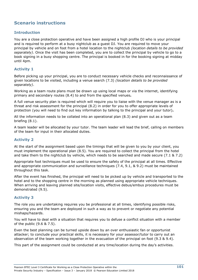# **Scenario instructions**

### **Introduction**

You are a close protection operative and have been assigned a high profile DJ who is your principal and is required to perform at a busy nightclub as a guest DJ. You are required to move your principal by vehicle and on foot from a hotel location to the nightclub *(location details to be provided separately)*. Once the visit has been completed, you are to collect the principal by vehicle to go to a book signing in a busy shopping centre. The principal is booked in for the booking signing at midday until 4pm.

### **Activity 1**

Before picking up your principal, you are to conduct necessary vehicle checks and reconnaissance of given locations to be visited, including a venue search (7.3) *(location details to be provided separately)*.

Working as a team route plans must be drawn up using local maps or via the internet, identifying primary and secondary routes (8.4) to and from the specified venues**.**

A full venue security plan is required which will require you to liaise with the venue manager as is a threat and risk assessment for the principal (8.2) in order for you to offer appropriate levels of protection (you will need to find out key information by talking to the principal and your tutor)**.**

All the information needs to be collated into an operational plan (8.3) and given out as a team briefing (8.1).

A team leader will be allocated by your tutor. The team leader will lead the brief, calling on members of the team for input in their allocated duties.

#### **Activity 2**

At the start of the assignment based upon the timings that will be given to you by your client, you must implement the operational plan (8.5). You are required to collect the principal from the hotel and take them to the nightclub by vehicle, which needs to be searched and made secure (7.1 & 7.2)

Appropriate foot techniques must be used to ensure the safety of the principal at all times. Effective and appropriate communication and surveillance techniques (7.4, 9.1, & 9.2) must be maintained throughout this task.

After the event has finished, the principal will need to be picked up by vehicle and transported to the hotel and to the shopping centre in the morning as planned using appropriate vehicle techniques. When arriving and leaving planned site/location visits, effective debus/embus procedures must be demonstrated (9.5).

### **Activity 3**

The role you are undertaking requires you be professional at all times, identifying possible risks, ensuring you and the team are deployed in such a way as to prevent or negotiate any potential mishaps/hazards.

You will have to deal with a situation that requires you to defuse a conflict situation with a member of the public (9.6 & 7.5).

Even the best planning can be turned upside down by an over enthusiastic fan or opportunist attacker; to conclude your practical skills, it is necessary for your assessor/tutor to carry out an observation of the team working together in the evacuation of the principal on foot (9.3 & 9.4).

This part of the assignment could be conducted at any time/location during the day's activities.